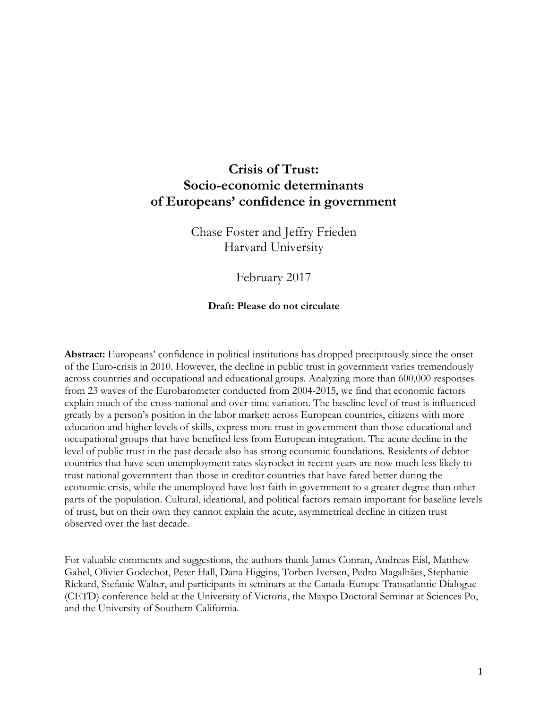# **Crisis of Trust: Socio-economic determinants of Europeans' confidence in government**

Chase Foster and Jeffry Frieden Harvard University

February 2017

## **Draft: Please do not circulate**

**Abstract:** Europeans' confidence in political institutions has dropped precipitously since the onset of the Euro-crisis in 2010. However, the decline in public trust in government varies tremendously across countries and occupational and educational groups. Analyzing more than 600,000 responses from 23 waves of the Eurobarometer conducted from 2004-2015, we find that economic factors explain much of the cross-national and over-time variation. The baseline level of trust is influenced greatly by a person's position in the labor market: across European countries, citizens with more education and higher levels of skills, express more trust in government than those educational and occupational groups that have benefited less from European integration. The acute decline in the level of public trust in the past decade also has strong economic foundations. Residents of debtor countries that have seen unemployment rates skyrocket in recent years are now much less likely to trust national government than those in creditor countries that have fared better during the economic crisis, while the unemployed have lost faith in government to a greater degree than other parts of the population. Cultural, ideational, and political factors remain important for baseline levels of trust, but on their own they cannot explain the acute, asymmetrical decline in citizen trust observed over the last decade.

For valuable comments and suggestions, the authors thank James Conran, Andreas Eisl, Matthew Gabel, Olivier Godechot, Peter Hall, Dana Higgins, Torben Iversen, Pedro Magalhães, Stephanie Rickard, Stefanie Walter, and participants in seminars at the Canada-Europe Transatlantic Dialogue (CETD) conference held at the University of Victoria, the Maxpo Doctoral Seminar at Sciences Po, and the University of Southern California.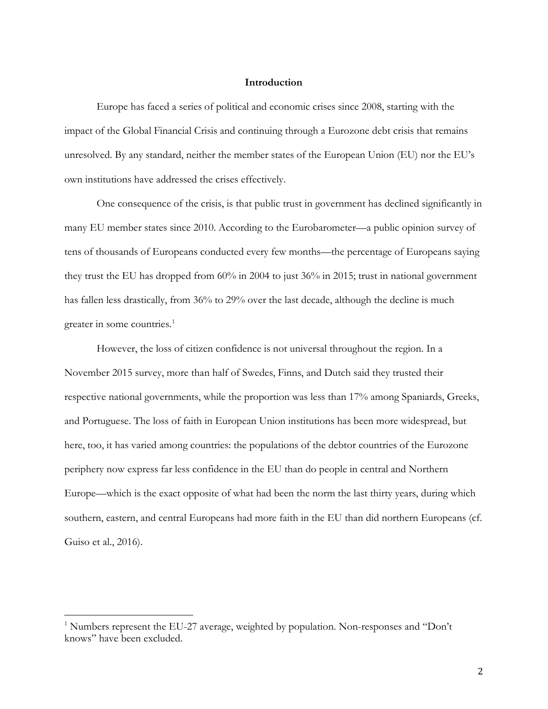## **Introduction**

Europe has faced a series of political and economic crises since 2008, starting with the impact of the Global Financial Crisis and continuing through a Eurozone debt crisis that remains unresolved. By any standard, neither the member states of the European Union (EU) nor the EU's own institutions have addressed the crises effectively.

One consequence of the crisis, is that public trust in government has declined significantly in many EU member states since 2010. According to the Eurobarometer—a public opinion survey of tens of thousands of Europeans conducted every few months—the percentage of Europeans saying they trust the EU has dropped from 60% in 2004 to just 36% in 2015; trust in national government has fallen less drastically, from 36% to 29% over the last decade, although the decline is much greater in some countries.<sup>[1](#page-1-0)</sup>

However, the loss of citizen confidence is not universal throughout the region. In a November 2015 survey, more than half of Swedes, Finns, and Dutch said they trusted their respective national governments, while the proportion was less than 17% among Spaniards, Greeks, and Portuguese. The loss of faith in European Union institutions has been more widespread, but here, too, it has varied among countries: the populations of the debtor countries of the Eurozone periphery now express far less confidence in the EU than do people in central and Northern Europe—which is the exact opposite of what had been the norm the last thirty years, during which southern, eastern, and central Europeans had more faith in the EU than did northern Europeans (cf. Guiso et al., 2016).

<span id="page-1-0"></span> $1$  Numbers represent the EU-27 average, weighted by population. Non-responses and "Don't knows" have been excluded.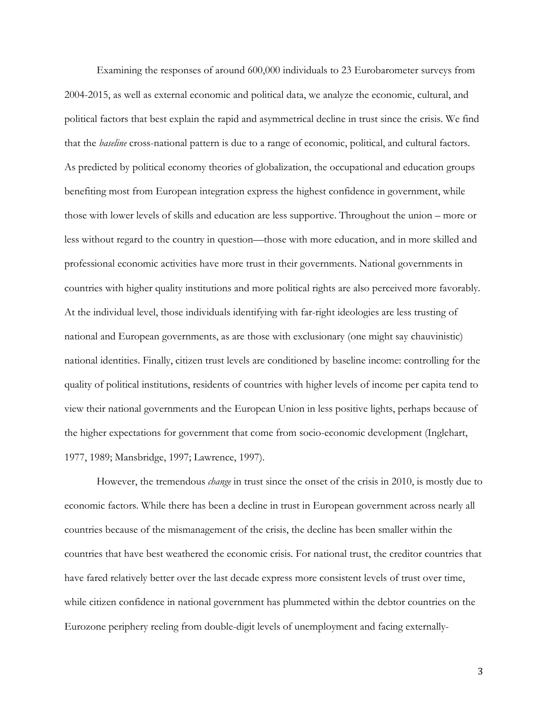Examining the responses of around 600,000 individuals to 23 Eurobarometer surveys from 2004-2015, as well as external economic and political data, we analyze the economic, cultural, and political factors that best explain the rapid and asymmetrical decline in trust since the crisis. We find that the *baseline* cross-national pattern is due to a range of economic, political, and cultural factors. As predicted by political economy theories of globalization, the occupational and education groups benefiting most from European integration express the highest confidence in government, while those with lower levels of skills and education are less supportive. Throughout the union – more or less without regard to the country in question—those with more education, and in more skilled and professional economic activities have more trust in their governments. National governments in countries with higher quality institutions and more political rights are also perceived more favorably. At the individual level, those individuals identifying with far-right ideologies are less trusting of national and European governments, as are those with exclusionary (one might say chauvinistic) national identities. Finally, citizen trust levels are conditioned by baseline income: controlling for the quality of political institutions, residents of countries with higher levels of income per capita tend to view their national governments and the European Union in less positive lights, perhaps because of the higher expectations for government that come from socio-economic development (Inglehart, 1977, 1989; Mansbridge, 1997; Lawrence, 1997).

However, the tremendous *change* in trust since the onset of the crisis in 2010, is mostly due to economic factors. While there has been a decline in trust in European government across nearly all countries because of the mismanagement of the crisis, the decline has been smaller within the countries that have best weathered the economic crisis. For national trust, the creditor countries that have fared relatively better over the last decade express more consistent levels of trust over time, while citizen confidence in national government has plummeted within the debtor countries on the Eurozone periphery reeling from double-digit levels of unemployment and facing externally-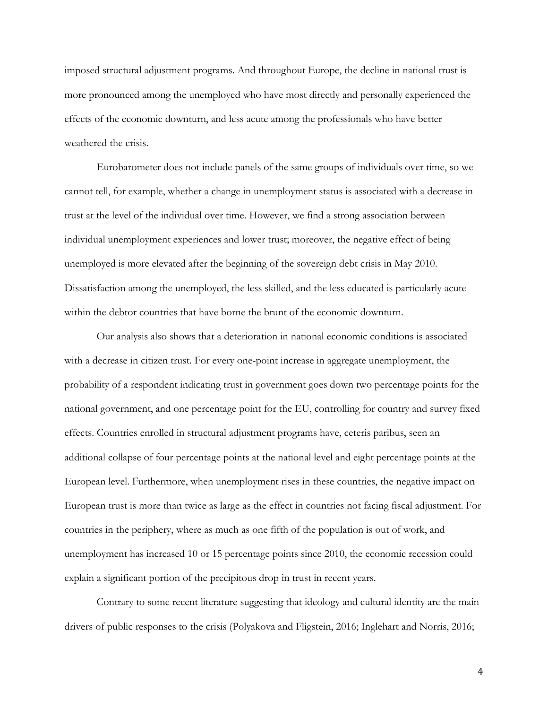imposed structural adjustment programs. And throughout Europe, the decline in national trust is more pronounced among the unemployed who have most directly and personally experienced the effects of the economic downturn, and less acute among the professionals who have better weathered the crisis.

Eurobarometer does not include panels of the same groups of individuals over time, so we cannot tell, for example, whether a change in unemployment status is associated with a decrease in trust at the level of the individual over time. However, we find a strong association between individual unemployment experiences and lower trust; moreover, the negative effect of being unemployed is more elevated after the beginning of the sovereign debt crisis in May 2010. Dissatisfaction among the unemployed, the less skilled, and the less educated is particularly acute within the debtor countries that have borne the brunt of the economic downturn.

Our analysis also shows that a deterioration in national economic conditions is associated with a decrease in citizen trust. For every one-point increase in aggregate unemployment, the probability of a respondent indicating trust in government goes down two percentage points for the national government, and one percentage point for the EU, controlling for country and survey fixed effects. Countries enrolled in structural adjustment programs have, ceteris paribus, seen an additional collapse of four percentage points at the national level and eight percentage points at the European level. Furthermore, when unemployment rises in these countries, the negative impact on European trust is more than twice as large as the effect in countries not facing fiscal adjustment. For countries in the periphery, where as much as one fifth of the population is out of work, and unemployment has increased 10 or 15 percentage points since 2010, the economic recession could explain a significant portion of the precipitous drop in trust in recent years.

Contrary to some recent literature suggesting that ideology and cultural identity are the main drivers of public responses to the crisis (Polyakova and Fligstein, 2016; Inglehart and Norris, 2016;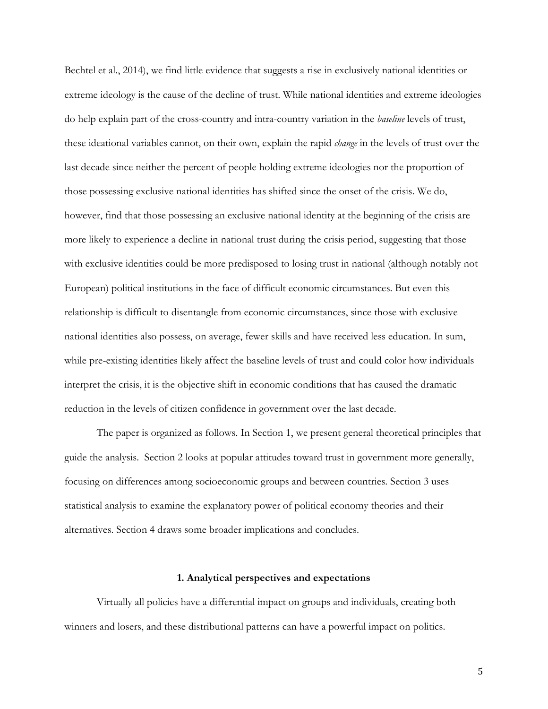Bechtel et al., 2014), we find little evidence that suggests a rise in exclusively national identities or extreme ideology is the cause of the decline of trust. While national identities and extreme ideologies do help explain part of the cross-country and intra-country variation in the *baseline* levels of trust, these ideational variables cannot, on their own, explain the rapid *change* in the levels of trust over the last decade since neither the percent of people holding extreme ideologies nor the proportion of those possessing exclusive national identities has shifted since the onset of the crisis. We do, however, find that those possessing an exclusive national identity at the beginning of the crisis are more likely to experience a decline in national trust during the crisis period, suggesting that those with exclusive identities could be more predisposed to losing trust in national (although notably not European) political institutions in the face of difficult economic circumstances. But even this relationship is difficult to disentangle from economic circumstances, since those with exclusive national identities also possess, on average, fewer skills and have received less education. In sum, while pre-existing identities likely affect the baseline levels of trust and could color how individuals interpret the crisis, it is the objective shift in economic conditions that has caused the dramatic reduction in the levels of citizen confidence in government over the last decade.

The paper is organized as follows. In Section 1, we present general theoretical principles that guide the analysis. Section 2 looks at popular attitudes toward trust in government more generally, focusing on differences among socioeconomic groups and between countries. Section 3 uses statistical analysis to examine the explanatory power of political economy theories and their alternatives. Section 4 draws some broader implications and concludes.

#### **1. Analytical perspectives and expectations**

Virtually all policies have a differential impact on groups and individuals, creating both winners and losers, and these distributional patterns can have a powerful impact on politics.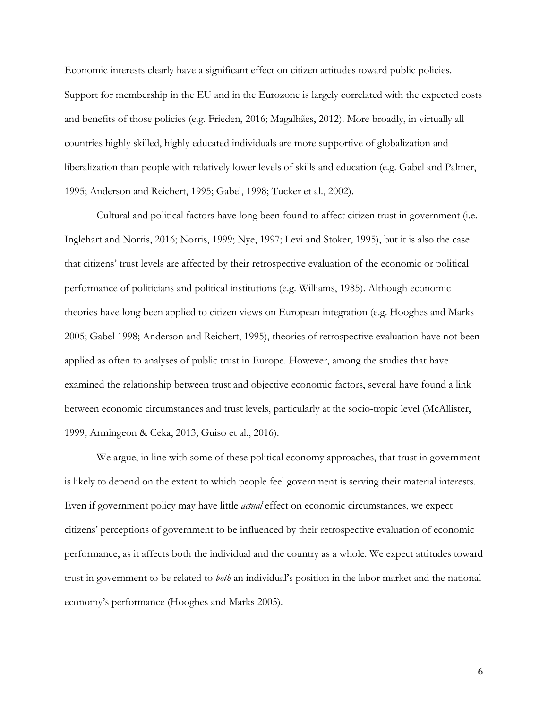Economic interests clearly have a significant effect on citizen attitudes toward public policies. Support for membership in the EU and in the Eurozone is largely correlated with the expected costs and benefits of those policies (e.g. Frieden, 2016; Magalhães, 2012). More broadly, in virtually all countries highly skilled, highly educated individuals are more supportive of globalization and liberalization than people with relatively lower levels of skills and education (e.g. Gabel and Palmer, 1995; Anderson and Reichert, 1995; Gabel, 1998; Tucker et al., 2002).

Cultural and political factors have long been found to affect citizen trust in government (i.e. Inglehart and Norris, 2016; Norris, 1999; Nye, 1997; Levi and Stoker, 1995), but it is also the case that citizens' trust levels are affected by their retrospective evaluation of the economic or political performance of politicians and political institutions (e.g. Williams, 1985). Although economic theories have long been applied to citizen views on European integration (e.g. Hooghes and Marks 2005; Gabel 1998; Anderson and Reichert, 1995), theories of retrospective evaluation have not been applied as often to analyses of public trust in Europe. However, among the studies that have examined the relationship between trust and objective economic factors, several have found a link between economic circumstances and trust levels, particularly at the socio-tropic level (McAllister, 1999; Armingeon & Ceka, 2013; Guiso et al., 2016).

We argue, in line with some of these political economy approaches, that trust in government is likely to depend on the extent to which people feel government is serving their material interests. Even if government policy may have little *actual* effect on economic circumstances, we expect citizens' perceptions of government to be influenced by their retrospective evaluation of economic performance, as it affects both the individual and the country as a whole. We expect attitudes toward trust in government to be related to *both* an individual's position in the labor market and the national economy's performance (Hooghes and Marks 2005).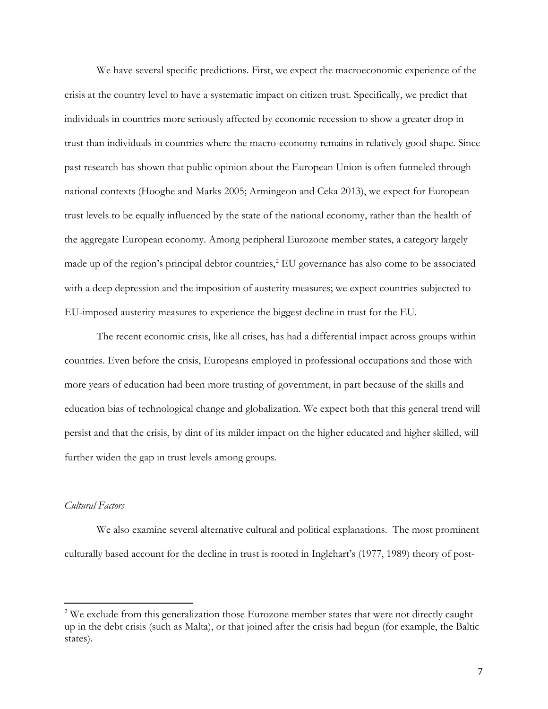We have several specific predictions. First, we expect the macroeconomic experience of the crisis at the country level to have a systematic impact on citizen trust. Specifically, we predict that individuals in countries more seriously affected by economic recession to show a greater drop in trust than individuals in countries where the macro-economy remains in relatively good shape. Since past research has shown that public opinion about the European Union is often funneled through national contexts (Hooghe and Marks 2005; Armingeon and Ceka 2013), we expect for European trust levels to be equally influenced by the state of the national economy, rather than the health of the aggregate European economy. Among peripheral Eurozone member states, a category largely made up of the region's principal debtor countries,<sup>[2](#page-6-0)</sup> EU governance has also come to be associated with a deep depression and the imposition of austerity measures; we expect countries subjected to EU-imposed austerity measures to experience the biggest decline in trust for the EU.

The recent economic crisis, like all crises, has had a differential impact across groups within countries. Even before the crisis, Europeans employed in professional occupations and those with more years of education had been more trusting of government, in part because of the skills and education bias of technological change and globalization. We expect both that this general trend will persist and that the crisis, by dint of its milder impact on the higher educated and higher skilled, will further widen the gap in trust levels among groups.

## *Cultural Factors*

 $\overline{a}$ 

We also examine several alternative cultural and political explanations. The most prominent culturally based account for the decline in trust is rooted in Inglehart's (1977, 1989) theory of post-

<span id="page-6-0"></span><sup>&</sup>lt;sup>2</sup> We exclude from this generalization those Eurozone member states that were not directly caught up in the debt crisis (such as Malta), or that joined after the crisis had begun (for example, the Baltic states).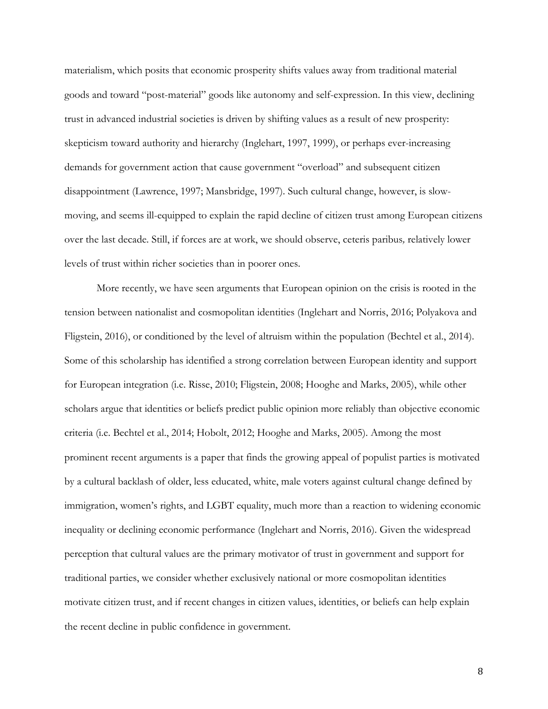materialism, which posits that economic prosperity shifts values away from traditional material goods and toward "post-material" goods like autonomy and self-expression. In this view, declining trust in advanced industrial societies is driven by shifting values as a result of new prosperity: skepticism toward authority and hierarchy (Inglehart, 1997, 1999), or perhaps ever-increasing demands for government action that cause government "overload" and subsequent citizen disappointment (Lawrence, 1997; Mansbridge, 1997). Such cultural change, however, is slowmoving, and seems ill-equipped to explain the rapid decline of citizen trust among European citizens over the last decade. Still, if forces are at work, we should observe, ceteris paribus*,* relatively lower levels of trust within richer societies than in poorer ones.

More recently, we have seen arguments that European opinion on the crisis is rooted in the tension between nationalist and cosmopolitan identities (Inglehart and Norris, 2016; Polyakova and Fligstein, 2016), or conditioned by the level of altruism within the population (Bechtel et al., 2014). Some of this scholarship has identified a strong correlation between European identity and support for European integration (i.e. Risse, 2010; Fligstein, 2008; Hooghe and Marks, 2005), while other scholars argue that identities or beliefs predict public opinion more reliably than objective economic criteria (i.e. Bechtel et al., 2014; Hobolt, 2012; Hooghe and Marks, 2005). Among the most prominent recent arguments is a paper that finds the growing appeal of populist parties is motivated by a cultural backlash of older, less educated, white, male voters against cultural change defined by immigration, women's rights, and LGBT equality, much more than a reaction to widening economic inequality or declining economic performance (Inglehart and Norris, 2016). Given the widespread perception that cultural values are the primary motivator of trust in government and support for traditional parties, we consider whether exclusively national or more cosmopolitan identities motivate citizen trust, and if recent changes in citizen values, identities, or beliefs can help explain the recent decline in public confidence in government.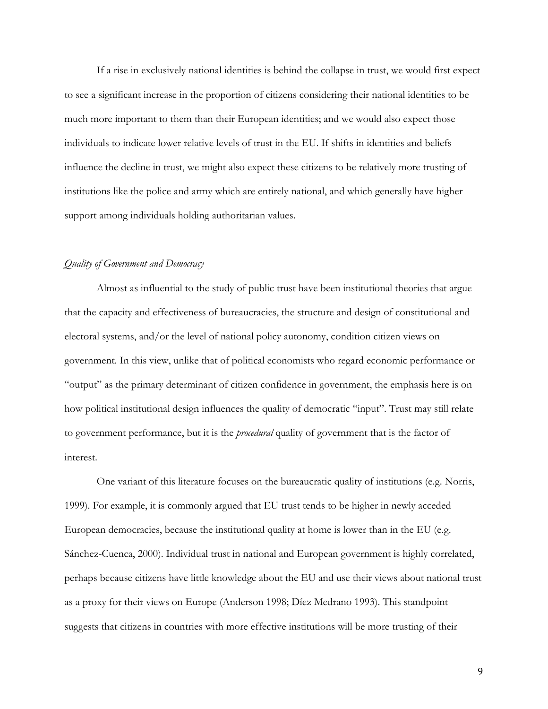If a rise in exclusively national identities is behind the collapse in trust, we would first expect to see a significant increase in the proportion of citizens considering their national identities to be much more important to them than their European identities; and we would also expect those individuals to indicate lower relative levels of trust in the EU. If shifts in identities and beliefs influence the decline in trust, we might also expect these citizens to be relatively more trusting of institutions like the police and army which are entirely national, and which generally have higher support among individuals holding authoritarian values.

#### *Quality of Government and Democracy*

Almost as influential to the study of public trust have been institutional theories that argue that the capacity and effectiveness of bureaucracies, the structure and design of constitutional and electoral systems, and/or the level of national policy autonomy, condition citizen views on government. In this view, unlike that of political economists who regard economic performance or "output" as the primary determinant of citizen confidence in government, the emphasis here is on how political institutional design influences the quality of democratic "input". Trust may still relate to government performance, but it is the *procedural* quality of government that is the factor of interest.

One variant of this literature focuses on the bureaucratic quality of institutions (e.g. Norris, 1999). For example, it is commonly argued that EU trust tends to be higher in newly acceded European democracies, because the institutional quality at home is lower than in the EU (e.g. Sánchez-Cuenca, 2000). Individual trust in national and European government is highly correlated, perhaps because citizens have little knowledge about the EU and use their views about national trust as a proxy for their views on Europe (Anderson 1998; Díez Medrano 1993). This standpoint suggests that citizens in countries with more effective institutions will be more trusting of their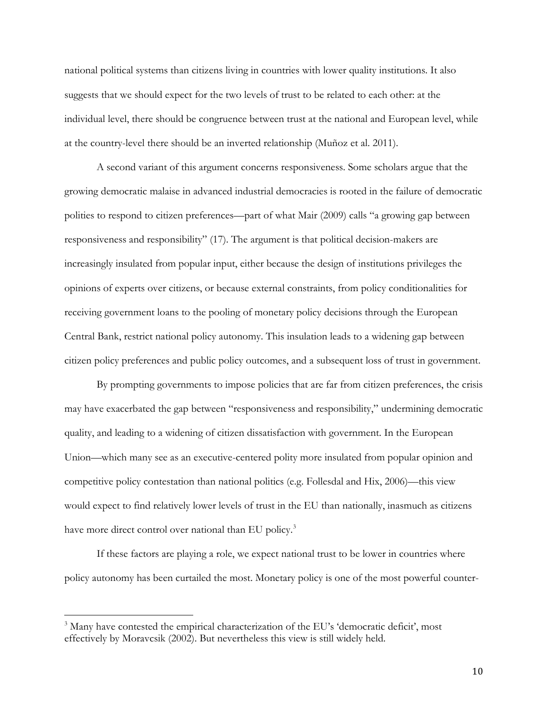national political systems than citizens living in countries with lower quality institutions. It also suggests that we should expect for the two levels of trust to be related to each other: at the individual level, there should be congruence between trust at the national and European level, while at the country-level there should be an inverted relationship (Muñoz et al. 2011).

A second variant of this argument concerns responsiveness. Some scholars argue that the growing democratic malaise in advanced industrial democracies is rooted in the failure of democratic polities to respond to citizen preferences—part of what Mair (2009) calls "a growing gap between responsiveness and responsibility" (17). The argument is that political decision-makers are increasingly insulated from popular input, either because the design of institutions privileges the opinions of experts over citizens, or because external constraints, from policy conditionalities for receiving government loans to the pooling of monetary policy decisions through the European Central Bank, restrict national policy autonomy. This insulation leads to a widening gap between citizen policy preferences and public policy outcomes, and a subsequent loss of trust in government.

By prompting governments to impose policies that are far from citizen preferences, the crisis may have exacerbated the gap between "responsiveness and responsibility," undermining democratic quality, and leading to a widening of citizen dissatisfaction with government. In the European Union—which many see as an executive-centered polity more insulated from popular opinion and competitive policy contestation than national politics (e.g. Follesdal and Hix, 2006)—this view would expect to find relatively lower levels of trust in the EU than nationally, inasmuch as citizens have more direct control over national than EU policy.<sup>[3](#page-9-0)</sup>

If these factors are playing a role, we expect national trust to be lower in countries where policy autonomy has been curtailed the most. Monetary policy is one of the most powerful counter-

<span id="page-9-0"></span><sup>&</sup>lt;sup>3</sup> Many have contested the empirical characterization of the EU's 'democratic deficit', most effectively by Moravcsik (2002). But nevertheless this view is still widely held.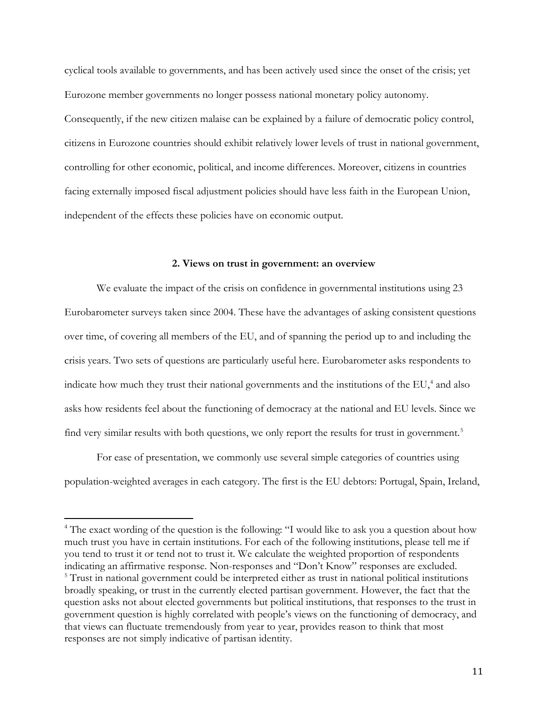cyclical tools available to governments, and has been actively used since the onset of the crisis; yet Eurozone member governments no longer possess national monetary policy autonomy. Consequently, if the new citizen malaise can be explained by a failure of democratic policy control, citizens in Eurozone countries should exhibit relatively lower levels of trust in national government, controlling for other economic, political, and income differences. Moreover, citizens in countries facing externally imposed fiscal adjustment policies should have less faith in the European Union, independent of the effects these policies have on economic output.

#### **2. Views on trust in government: an overview**

We evaluate the impact of the crisis on confidence in governmental institutions using 23 Eurobarometer surveys taken since 2004. These have the advantages of asking consistent questions over time, of covering all members of the EU, and of spanning the period up to and including the crisis years. Two sets of questions are particularly useful here. Eurobarometer asks respondents to indicate how much they trust their national governments and the institutions of the EU, [4](#page-10-0) and also asks how residents feel about the functioning of democracy at the national and EU levels. Since we find very similar results with both questions, we only report the results for trust in government.<sup>[5](#page-10-1)</sup>

For ease of presentation, we commonly use several simple categories of countries using population-weighted averages in each category. The first is the EU debtors: Portugal, Spain, Ireland,

<span id="page-10-1"></span><span id="page-10-0"></span><sup>&</sup>lt;sup>4</sup> The exact wording of the question is the following: "I would like to ask you a question about how much trust you have in certain institutions. For each of the following institutions, please tell me if you tend to trust it or tend not to trust it. We calculate the weighted proportion of respondents indicating an affirmative response. Non-responses and "Don't Know" responses are excluded. <sup>5</sup> Trust in national government could be interpreted either as trust in national political institutions broadly speaking, or trust in the currently elected partisan government. However, the fact that the question asks not about elected governments but political institutions, that responses to the trust in government question is highly correlated with people's views on the functioning of democracy, and that views can fluctuate tremendously from year to year, provides reason to think that most responses are not simply indicative of partisan identity.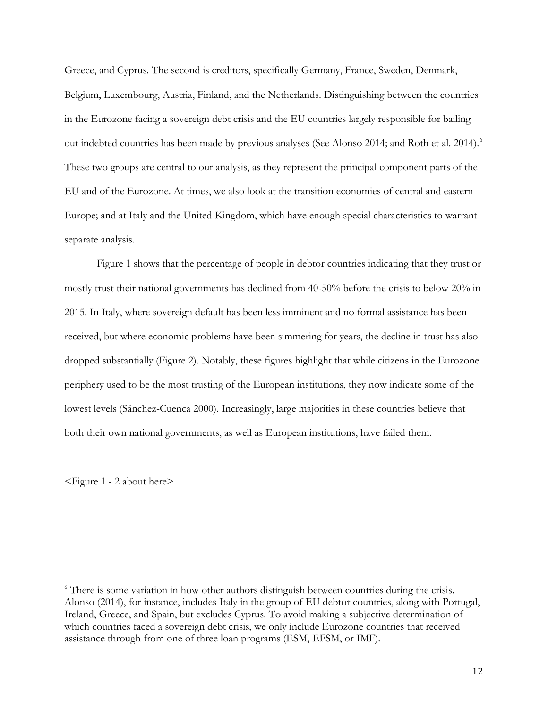Greece, and Cyprus. The second is creditors, specifically Germany, France, Sweden, Denmark, Belgium, Luxembourg, Austria, Finland, and the Netherlands. Distinguishing between the countries in the Eurozone facing a sovereign debt crisis and the EU countries largely responsible for bailing out indebted countries has been made by previous analyses (See Alonso 2014; and Roth et al. 2014).<sup>[6](#page-11-0)</sup> These two groups are central to our analysis, as they represent the principal component parts of the EU and of the Eurozone. At times, we also look at the transition economies of central and eastern Europe; and at Italy and the United Kingdom, which have enough special characteristics to warrant separate analysis.

Figure 1 shows that the percentage of people in debtor countries indicating that they trust or mostly trust their national governments has declined from 40-50% before the crisis to below 20% in 2015. In Italy, where sovereign default has been less imminent and no formal assistance has been received, but where economic problems have been simmering for years, the decline in trust has also dropped substantially (Figure 2). Notably, these figures highlight that while citizens in the Eurozone periphery used to be the most trusting of the European institutions, they now indicate some of the lowest levels (Sánchez-Cuenca 2000). Increasingly, large majorities in these countries believe that both their own national governments, as well as European institutions, have failed them.

<Figure 1 - 2 about here>

<span id="page-11-0"></span><sup>&</sup>lt;sup>6</sup> There is some variation in how other authors distinguish between countries during the crisis. Alonso (2014), for instance, includes Italy in the group of EU debtor countries, along with Portugal, Ireland, Greece, and Spain, but excludes Cyprus. To avoid making a subjective determination of which countries faced a sovereign debt crisis, we only include Eurozone countries that received assistance through from one of three loan programs (ESM, EFSM, or IMF).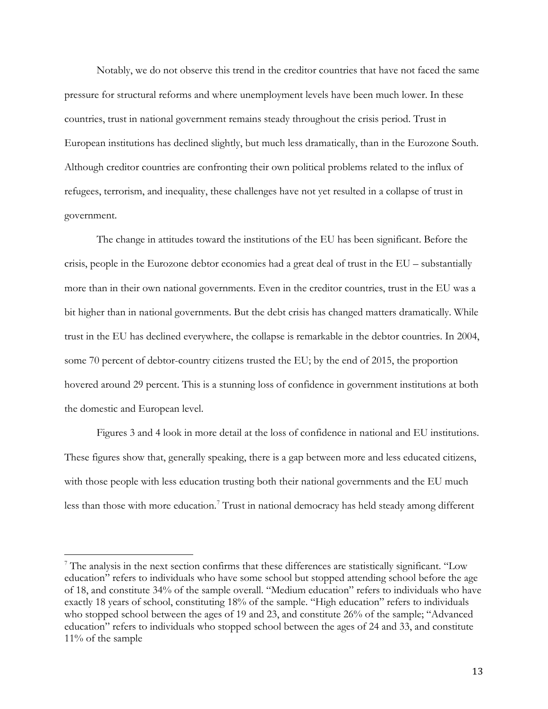Notably, we do not observe this trend in the creditor countries that have not faced the same pressure for structural reforms and where unemployment levels have been much lower. In these countries, trust in national government remains steady throughout the crisis period. Trust in European institutions has declined slightly, but much less dramatically, than in the Eurozone South. Although creditor countries are confronting their own political problems related to the influx of refugees, terrorism, and inequality, these challenges have not yet resulted in a collapse of trust in government.

The change in attitudes toward the institutions of the EU has been significant. Before the crisis, people in the Eurozone debtor economies had a great deal of trust in the EU – substantially more than in their own national governments. Even in the creditor countries, trust in the EU was a bit higher than in national governments. But the debt crisis has changed matters dramatically. While trust in the EU has declined everywhere, the collapse is remarkable in the debtor countries. In 2004, some 70 percent of debtor-country citizens trusted the EU; by the end of 2015, the proportion hovered around 29 percent. This is a stunning loss of confidence in government institutions at both the domestic and European level.

Figures 3 and 4 look in more detail at the loss of confidence in national and EU institutions. These figures show that, generally speaking, there is a gap between more and less educated citizens, with those people with less education trusting both their national governments and the EU much less than those with more education.<sup>[7](#page-12-0)</sup> Trust in national democracy has held steady among different

<span id="page-12-0"></span><sup>&</sup>lt;sup>7</sup> The analysis in the next section confirms that these differences are statistically significant. "Low education" refers to individuals who have some school but stopped attending school before the age of 18, and constitute 34% of the sample overall. "Medium education" refers to individuals who have exactly 18 years of school, constituting 18% of the sample. "High education" refers to individuals who stopped school between the ages of 19 and 23, and constitute 26% of the sample; "Advanced education" refers to individuals who stopped school between the ages of 24 and 33, and constitute 11% of the sample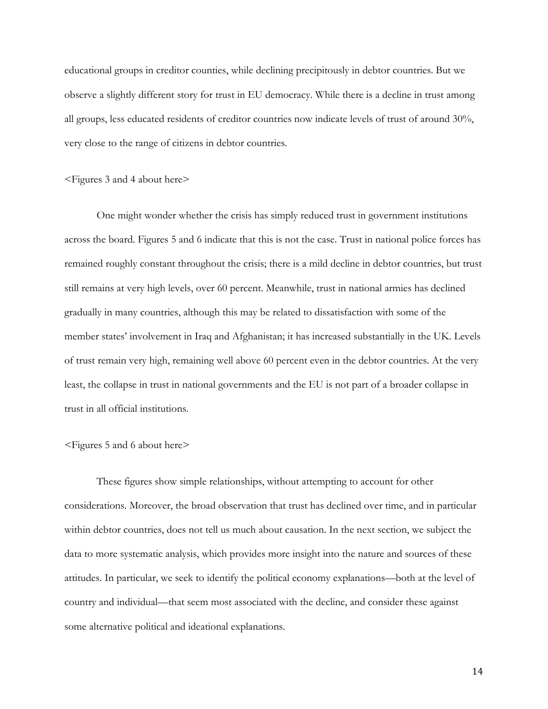educational groups in creditor counties, while declining precipitously in debtor countries. But we observe a slightly different story for trust in EU democracy. While there is a decline in trust among all groups, less educated residents of creditor countries now indicate levels of trust of around 30%, very close to the range of citizens in debtor countries.

#### <Figures 3 and 4 about here>

One might wonder whether the crisis has simply reduced trust in government institutions across the board. Figures 5 and 6 indicate that this is not the case. Trust in national police forces has remained roughly constant throughout the crisis; there is a mild decline in debtor countries, but trust still remains at very high levels, over 60 percent. Meanwhile, trust in national armies has declined gradually in many countries, although this may be related to dissatisfaction with some of the member states' involvement in Iraq and Afghanistan; it has increased substantially in the UK. Levels of trust remain very high, remaining well above 60 percent even in the debtor countries. At the very least, the collapse in trust in national governments and the EU is not part of a broader collapse in trust in all official institutions.

#### <Figures 5 and 6 about here>

These figures show simple relationships, without attempting to account for other considerations. Moreover, the broad observation that trust has declined over time, and in particular within debtor countries, does not tell us much about causation. In the next section, we subject the data to more systematic analysis, which provides more insight into the nature and sources of these attitudes. In particular, we seek to identify the political economy explanations—both at the level of country and individual—that seem most associated with the decline, and consider these against some alternative political and ideational explanations.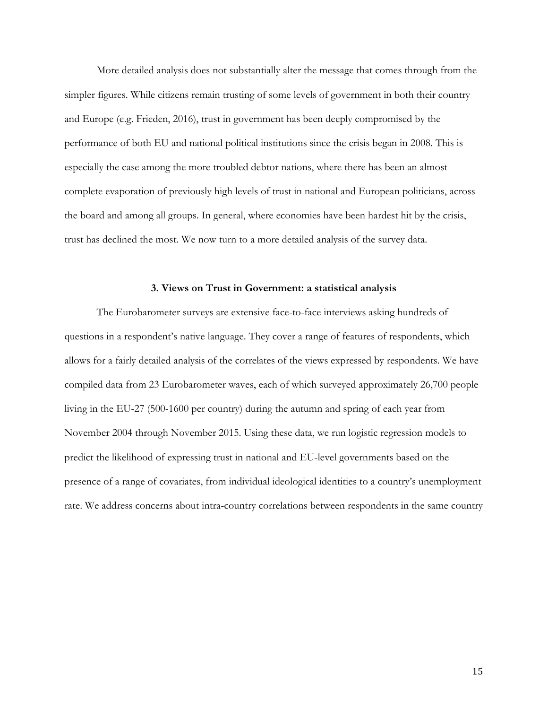More detailed analysis does not substantially alter the message that comes through from the simpler figures. While citizens remain trusting of some levels of government in both their country and Europe (e.g. Frieden, 2016), trust in government has been deeply compromised by the performance of both EU and national political institutions since the crisis began in 2008. This is especially the case among the more troubled debtor nations, where there has been an almost complete evaporation of previously high levels of trust in national and European politicians, across the board and among all groups. In general, where economies have been hardest hit by the crisis, trust has declined the most. We now turn to a more detailed analysis of the survey data.

#### **3. Views on Trust in Government: a statistical analysis**

The Eurobarometer surveys are extensive face-to-face interviews asking hundreds of questions in a respondent's native language. They cover a range of features of respondents, which allows for a fairly detailed analysis of the correlates of the views expressed by respondents. We have compiled data from 23 Eurobarometer waves, each of which surveyed approximately 26,700 people living in the EU-27 (500-1600 per country) during the autumn and spring of each year from November 2004 through November 2015. Using these data, we run logistic regression models to predict the likelihood of expressing trust in national and EU-level governments based on the presence of a range of covariates, from individual ideological identities to a country's unemployment rate. We address concerns about intra-country correlations between respondents in the same country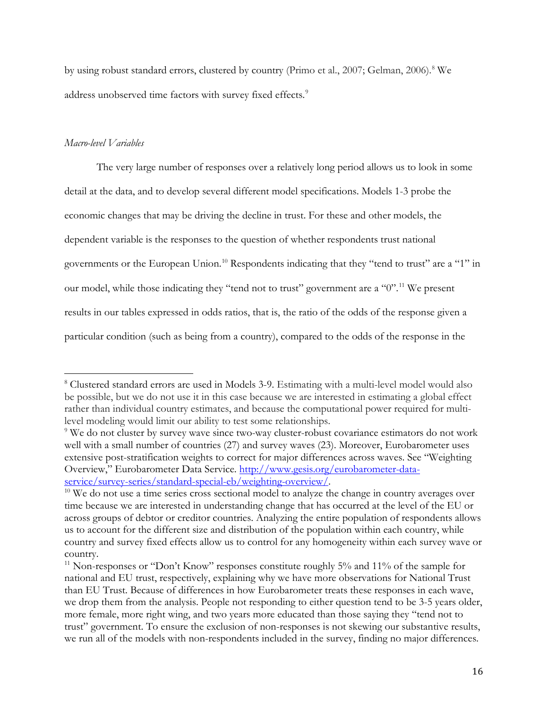by using robust standard errors, clustered by country (Primo et al., 2007; Gelman, 2006).<sup>[8](#page-15-0)</sup> We address unobserved time factors with survey fixed effects.<sup>[9](#page-15-1)</sup>

## *Macro-level Variables*

 $\overline{a}$ 

The very large number of responses over a relatively long period allows us to look in some detail at the data, and to develop several different model specifications. Models 1-3 probe the economic changes that may be driving the decline in trust. For these and other models, the dependent variable is the responses to the question of whether respondents trust national governments or the European Union.<sup>[10](#page-15-2)</sup> Respondents indicating that they "tend to trust" are a "1" in our model, while those indicating they "tend not to trust" government are a "0".<sup>[11](#page-15-3)</sup> We present results in our tables expressed in odds ratios, that is, the ratio of the odds of the response given a particular condition (such as being from a country), compared to the odds of the response in the

<span id="page-15-0"></span><sup>8</sup> Clustered standard errors are used in Models 3-9. Estimating with a multi-level model would also be possible, but we do not use it in this case because we are interested in estimating a global effect rather than individual country estimates, and because the computational power required for multilevel modeling would limit our ability to test some relationships.

<span id="page-15-1"></span><sup>&</sup>lt;sup>9</sup> We do not cluster by survey wave since two-way cluster-robust covariance estimators do not work well with a small number of countries (27) and survey waves (23). Moreover, Eurobarometer uses extensive post-stratification weights to correct for major differences across waves. See "Weighting Overview," Eurobarometer Data Service. [http://www.gesis.org/eurobarometer-data](http://www.gesis.org/eurobarometer-data-service/survey-series/standard-special-eb/weighting-overview/)[service/survey-series/standard-special-eb/weighting-overview/.](http://www.gesis.org/eurobarometer-data-service/survey-series/standard-special-eb/weighting-overview/)<br><sup>10</sup> We do not use a time series cross sectional model to analyze the change in country averages over

<span id="page-15-2"></span>time because we are interested in understanding change that has occurred at the level of the EU or across groups of debtor or creditor countries. Analyzing the entire population of respondents allows us to account for the different size and distribution of the population within each country, while country and survey fixed effects allow us to control for any homogeneity within each survey wave or country.

<span id="page-15-3"></span><sup>&</sup>lt;sup>11</sup> Non-responses or "Don't Know" responses constitute roughly  $5%$  and  $11%$  of the sample for national and EU trust, respectively, explaining why we have more observations for National Trust than EU Trust. Because of differences in how Eurobarometer treats these responses in each wave, we drop them from the analysis. People not responding to either question tend to be 3-5 years older, more female, more right wing, and two years more educated than those saying they "tend not to trust" government. To ensure the exclusion of non-responses is not skewing our substantive results, we run all of the models with non-respondents included in the survey, finding no major differences.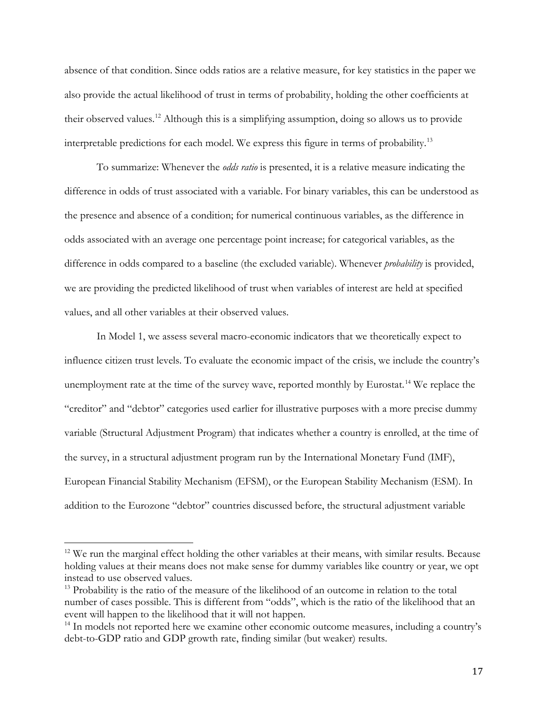absence of that condition. Since odds ratios are a relative measure, for key statistics in the paper we also provide the actual likelihood of trust in terms of probability, holding the other coefficients at their observed values. [12](#page-16-0) Although this is a simplifying assumption, doing so allows us to provide interpretable predictions for each model. We express this figure in terms of probability.[13](#page-16-1)

To summarize: Whenever the *odds ratio* is presented, it is a relative measure indicating the difference in odds of trust associated with a variable. For binary variables, this can be understood as the presence and absence of a condition; for numerical continuous variables, as the difference in odds associated with an average one percentage point increase; for categorical variables, as the difference in odds compared to a baseline (the excluded variable). Whenever *probability* is provided, we are providing the predicted likelihood of trust when variables of interest are held at specified values, and all other variables at their observed values.

In Model 1, we assess several macro-economic indicators that we theoretically expect to influence citizen trust levels. To evaluate the economic impact of the crisis, we include the country's unemployment rate at the time of the survey wave, reported monthly by Eurostat.<sup>[14](#page-16-2)</sup> We replace the "creditor" and "debtor" categories used earlier for illustrative purposes with a more precise dummy variable (Structural Adjustment Program) that indicates whether a country is enrolled, at the time of the survey, in a structural adjustment program run by the International Monetary Fund (IMF), European Financial Stability Mechanism (EFSM), or the European Stability Mechanism (ESM). In addition to the Eurozone "debtor" countries discussed before, the structural adjustment variable

<span id="page-16-0"></span><sup>&</sup>lt;sup>12</sup> We run the marginal effect holding the other variables at their means, with similar results. Because holding values at their means does not make sense for dummy variables like country or year, we opt instead to use observed values.

<span id="page-16-1"></span><sup>&</sup>lt;sup>13</sup> Probability is the ratio of the measure of the likelihood of an outcome in relation to the total number of cases possible. This is different from "odds", which is the ratio of the likelihood that an event will happen to the likelihood that it will not happen.

<span id="page-16-2"></span> $14$  In models not reported here we examine other economic outcome measures, including a country's debt-to-GDP ratio and GDP growth rate, finding similar (but weaker) results.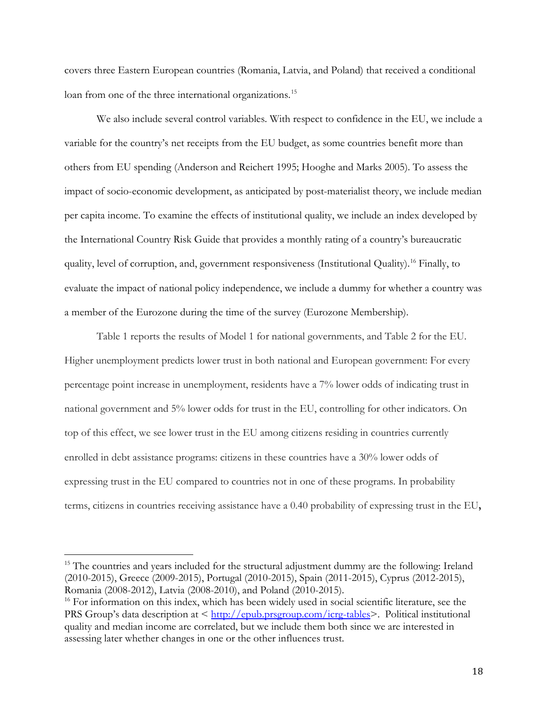covers three Eastern European countries (Romania, Latvia, and Poland) that received a conditional loan from one of the three international organizations.<sup>[15](#page-17-0)</sup>

We also include several control variables. With respect to confidence in the EU, we include a variable for the country's net receipts from the EU budget, as some countries benefit more than others from EU spending (Anderson and Reichert 1995; Hooghe and Marks 2005). To assess the impact of socio-economic development, as anticipated by post-materialist theory, we include median per capita income. To examine the effects of institutional quality, we include an index developed by the International Country Risk Guide that provides a monthly rating of a country's bureaucratic quality, level of corruption, and, government responsiveness (Institutional Quality). [16](#page-17-1) Finally, to evaluate the impact of national policy independence, we include a dummy for whether a country was a member of the Eurozone during the time of the survey (Eurozone Membership).

Table 1 reports the results of Model 1 for national governments, and Table 2 for the EU. Higher unemployment predicts lower trust in both national and European government: For every percentage point increase in unemployment, residents have a 7% lower odds of indicating trust in national government and 5% lower odds for trust in the EU, controlling for other indicators. On top of this effect, we see lower trust in the EU among citizens residing in countries currently enrolled in debt assistance programs: citizens in these countries have a 30% lower odds of expressing trust in the EU compared to countries not in one of these programs. In probability terms, citizens in countries receiving assistance have a 0.40 probability of expressing trust in the EU**,**

<span id="page-17-0"></span><sup>&</sup>lt;sup>15</sup> The countries and years included for the structural adjustment dummy are the following: Ireland (2010-2015), Greece (2009-2015), Portugal (2010-2015), Spain (2011-2015), Cyprus (2012-2015), Romania (2008-2012), Latvia (2008-2010), and Poland (2010-2015).

<span id="page-17-1"></span><sup>&</sup>lt;sup>16</sup> For information on this index, which has been widely used in social scientific literature, see the PRS Group's data description at < [http://epub.prsgroup.com/icrg-tables>](http://epub.prsgroup.com/icrg-tables). Political institutional quality and median income are correlated, but we include them both since we are interested in assessing later whether changes in one or the other influences trust.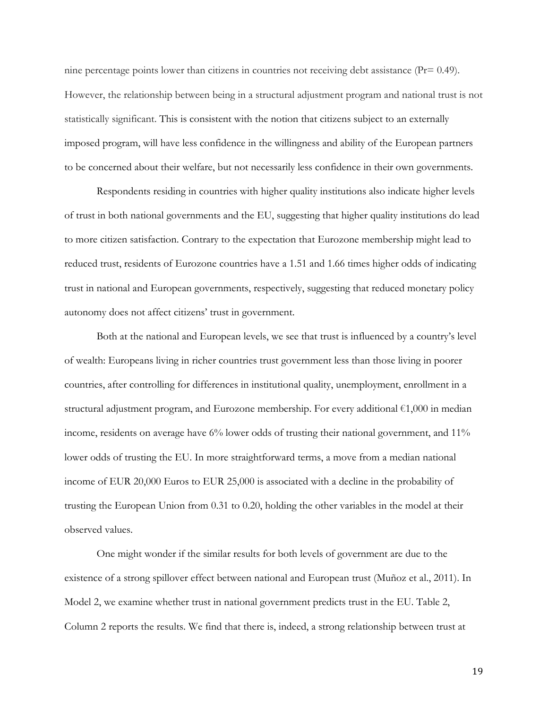nine percentage points lower than citizens in countries not receiving debt assistance ( $Pr = 0.49$ ). However, the relationship between being in a structural adjustment program and national trust is not statistically significant. This is consistent with the notion that citizens subject to an externally imposed program, will have less confidence in the willingness and ability of the European partners to be concerned about their welfare, but not necessarily less confidence in their own governments.

Respondents residing in countries with higher quality institutions also indicate higher levels of trust in both national governments and the EU, suggesting that higher quality institutions do lead to more citizen satisfaction. Contrary to the expectation that Eurozone membership might lead to reduced trust, residents of Eurozone countries have a 1.51 and 1.66 times higher odds of indicating trust in national and European governments, respectively, suggesting that reduced monetary policy autonomy does not affect citizens' trust in government.

Both at the national and European levels, we see that trust is influenced by a country's level of wealth: Europeans living in richer countries trust government less than those living in poorer countries, after controlling for differences in institutional quality, unemployment, enrollment in a structural adjustment program, and Eurozone membership. For every additional €1,000 in median income, residents on average have 6% lower odds of trusting their national government, and 11% lower odds of trusting the EU. In more straightforward terms, a move from a median national income of EUR 20,000 Euros to EUR 25,000 is associated with a decline in the probability of trusting the European Union from 0.31 to 0.20, holding the other variables in the model at their observed values.

One might wonder if the similar results for both levels of government are due to the existence of a strong spillover effect between national and European trust (Muñoz et al., 2011). In Model 2, we examine whether trust in national government predicts trust in the EU. Table 2, Column 2 reports the results. We find that there is, indeed, a strong relationship between trust at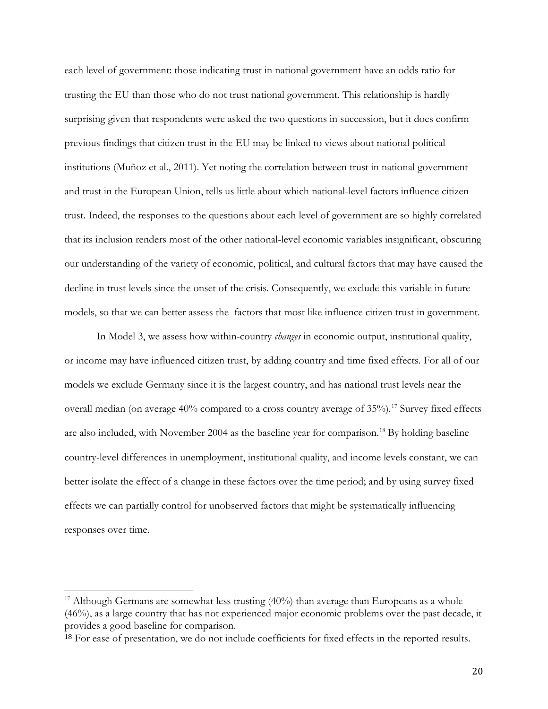each level of government: those indicating trust in national government have an odds ratio for trusting the EU than those who do not trust national government. This relationship is hardly surprising given that respondents were asked the two questions in succession, but it does confirm previous findings that citizen trust in the EU may be linked to views about national political institutions (Muñoz et al., 2011). Yet noting the correlation between trust in national government and trust in the European Union, tells us little about which national-level factors influence citizen trust. Indeed, the responses to the questions about each level of government are so highly correlated that its inclusion renders most of the other national-level economic variables insignificant, obscuring our understanding of the variety of economic, political, and cultural factors that may have caused the decline in trust levels since the onset of the crisis. Consequently, we exclude this variable in future models, so that we can better assess the factors that most like influence citizen trust in government.

In Model 3, we assess how within-country *changes* in economic output, institutional quality, or income may have influenced citizen trust, by adding country and time fixed effects. For all of our models we exclude Germany since it is the largest country, and has national trust levels near the overall median (on average  $40\%$  compared to a cross country average of  $35\%$ ).<sup>[17](#page-19-0)</sup> Survey fixed effects are also included, with November 2004 as the baseline year for comparison.<sup>[18](#page-19-1)</sup> By holding baseline country-level differences in unemployment, institutional quality, and income levels constant, we can better isolate the effect of a change in these factors over the time period; and by using survey fixed effects we can partially control for unobserved factors that might be systematically influencing responses over time.

<span id="page-19-0"></span><sup>&</sup>lt;sup>17</sup> Although Germans are somewhat less trusting  $(40\%)$  than average than Europeans as a whole (46%), as a large country that has not experienced major economic problems over the past decade, it provides a good baseline for comparison.

<span id="page-19-1"></span><sup>&</sup>lt;sup>18</sup> For ease of presentation, we do not include coefficients for fixed effects in the reported results.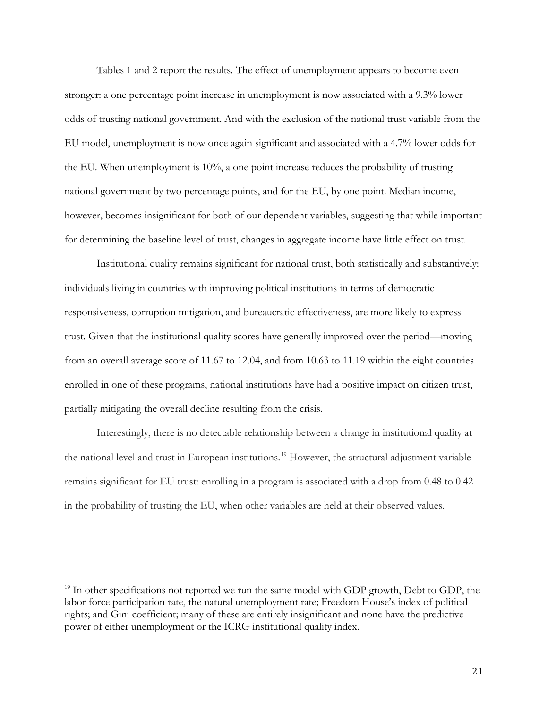Tables 1 and 2 report the results. The effect of unemployment appears to become even stronger: a one percentage point increase in unemployment is now associated with a 9.3% lower odds of trusting national government. And with the exclusion of the national trust variable from the EU model, unemployment is now once again significant and associated with a 4.7% lower odds for the EU. When unemployment is 10%, a one point increase reduces the probability of trusting national government by two percentage points, and for the EU, by one point. Median income, however, becomes insignificant for both of our dependent variables, suggesting that while important for determining the baseline level of trust, changes in aggregate income have little effect on trust.

Institutional quality remains significant for national trust, both statistically and substantively: individuals living in countries with improving political institutions in terms of democratic responsiveness, corruption mitigation, and bureaucratic effectiveness, are more likely to express trust. Given that the institutional quality scores have generally improved over the period—moving from an overall average score of 11.67 to 12.04, and from 10.63 to 11.19 within the eight countries enrolled in one of these programs, national institutions have had a positive impact on citizen trust, partially mitigating the overall decline resulting from the crisis.

Interestingly, there is no detectable relationship between a change in institutional quality at the national level and trust in European institutions.<sup>[19](#page-20-0)</sup> However, the structural adjustment variable remains significant for EU trust: enrolling in a program is associated with a drop from 0.48 to 0.42 in the probability of trusting the EU, when other variables are held at their observed values.

<span id="page-20-0"></span><sup>&</sup>lt;sup>19</sup> In other specifications not reported we run the same model with GDP growth, Debt to GDP, the labor force participation rate, the natural unemployment rate; Freedom House's index of political rights; and Gini coefficient; many of these are entirely insignificant and none have the predictive power of either unemployment or the ICRG institutional quality index.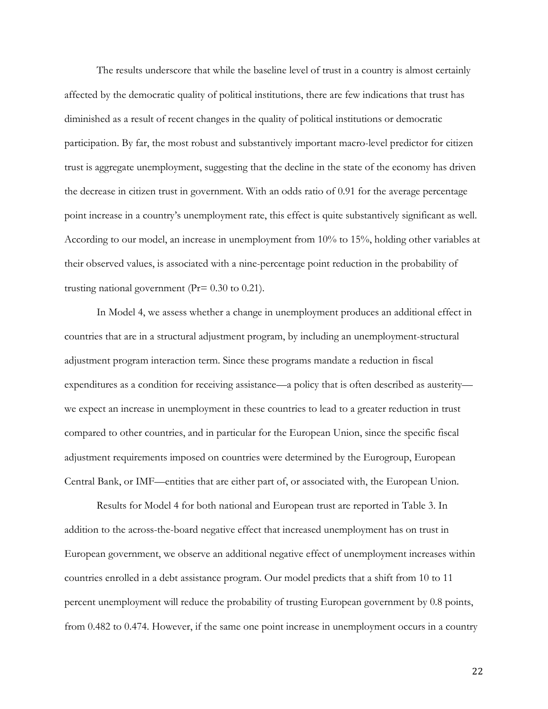The results underscore that while the baseline level of trust in a country is almost certainly affected by the democratic quality of political institutions, there are few indications that trust has diminished as a result of recent changes in the quality of political institutions or democratic participation. By far, the most robust and substantively important macro-level predictor for citizen trust is aggregate unemployment, suggesting that the decline in the state of the economy has driven the decrease in citizen trust in government. With an odds ratio of 0.91 for the average percentage point increase in a country's unemployment rate, this effect is quite substantively significant as well. According to our model, an increase in unemployment from 10% to 15%, holding other variables at their observed values, is associated with a nine-percentage point reduction in the probability of trusting national government ( $Pr = 0.30$  to 0.21).

In Model 4, we assess whether a change in unemployment produces an additional effect in countries that are in a structural adjustment program, by including an unemployment-structural adjustment program interaction term. Since these programs mandate a reduction in fiscal expenditures as a condition for receiving assistance—a policy that is often described as austerity we expect an increase in unemployment in these countries to lead to a greater reduction in trust compared to other countries, and in particular for the European Union, since the specific fiscal adjustment requirements imposed on countries were determined by the Eurogroup, European Central Bank, or IMF—entities that are either part of, or associated with, the European Union.

Results for Model 4 for both national and European trust are reported in Table 3. In addition to the across-the-board negative effect that increased unemployment has on trust in European government, we observe an additional negative effect of unemployment increases within countries enrolled in a debt assistance program. Our model predicts that a shift from 10 to 11 percent unemployment will reduce the probability of trusting European government by 0.8 points, from 0.482 to 0.474. However, if the same one point increase in unemployment occurs in a country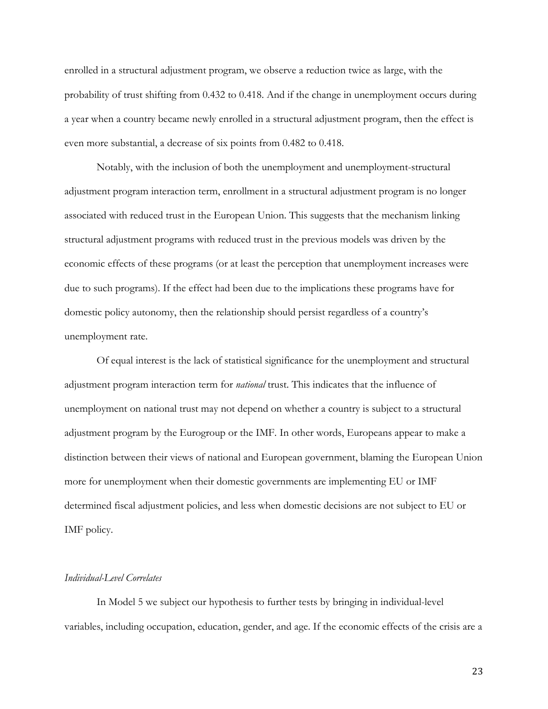enrolled in a structural adjustment program, we observe a reduction twice as large, with the probability of trust shifting from 0.432 to 0.418. And if the change in unemployment occurs during a year when a country became newly enrolled in a structural adjustment program, then the effect is even more substantial, a decrease of six points from 0.482 to 0.418.

Notably, with the inclusion of both the unemployment and unemployment-structural adjustment program interaction term, enrollment in a structural adjustment program is no longer associated with reduced trust in the European Union. This suggests that the mechanism linking structural adjustment programs with reduced trust in the previous models was driven by the economic effects of these programs (or at least the perception that unemployment increases were due to such programs). If the effect had been due to the implications these programs have for domestic policy autonomy, then the relationship should persist regardless of a country's unemployment rate.

Of equal interest is the lack of statistical significance for the unemployment and structural adjustment program interaction term for *national* trust. This indicates that the influence of unemployment on national trust may not depend on whether a country is subject to a structural adjustment program by the Eurogroup or the IMF. In other words, Europeans appear to make a distinction between their views of national and European government, blaming the European Union more for unemployment when their domestic governments are implementing EU or IMF determined fiscal adjustment policies, and less when domestic decisions are not subject to EU or IMF policy.

## *Individual-Level Correlates*

In Model 5 we subject our hypothesis to further tests by bringing in individual-level variables, including occupation, education, gender, and age. If the economic effects of the crisis are a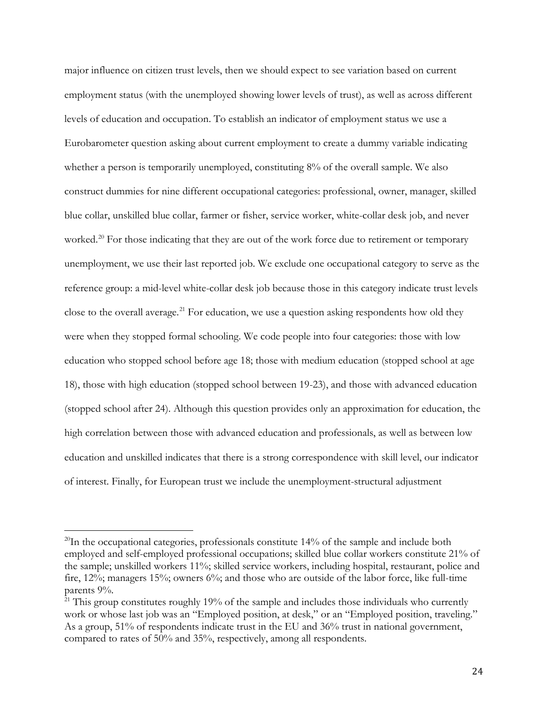major influence on citizen trust levels, then we should expect to see variation based on current employment status (with the unemployed showing lower levels of trust), as well as across different levels of education and occupation. To establish an indicator of employment status we use a Eurobarometer question asking about current employment to create a dummy variable indicating whether a person is temporarily unemployed, constituting 8% of the overall sample. We also construct dummies for nine different occupational categories: professional, owner, manager, skilled blue collar, unskilled blue collar, farmer or fisher, service worker, white-collar desk job, and never worked.<sup>[20](#page-23-0)</sup> For those indicating that they are out of the work force due to retirement or temporary unemployment, we use their last reported job. We exclude one occupational category to serve as the reference group: a mid-level white-collar desk job because those in this category indicate trust levels close to the overall average.<sup>[21](#page-23-1)</sup> For education, we use a question asking respondents how old they were when they stopped formal schooling. We code people into four categories: those with low education who stopped school before age 18; those with medium education (stopped school at age 18), those with high education (stopped school between 19-23), and those with advanced education (stopped school after 24). Although this question provides only an approximation for education, the high correlation between those with advanced education and professionals, as well as between low education and unskilled indicates that there is a strong correspondence with skill level, our indicator of interest. Finally, for European trust we include the unemployment-structural adjustment

<span id="page-23-0"></span> $^{20}$ In the occupational categories, professionals constitute 14% of the sample and include both employed and self-employed professional occupations; skilled blue collar workers constitute 21% of the sample; unskilled workers 11%; skilled service workers, including hospital, restaurant, police and fire, 12%; managers 15%; owners 6%; and those who are outside of the labor force, like full-time parents 9%.

<span id="page-23-1"></span> $21$ <sup>21</sup> This group constitutes roughly 19% of the sample and includes those individuals who currently work or whose last job was an "Employed position, at desk," or an "Employed position, traveling." As a group, 51% of respondents indicate trust in the EU and 36% trust in national government, compared to rates of 50% and 35%, respectively, among all respondents.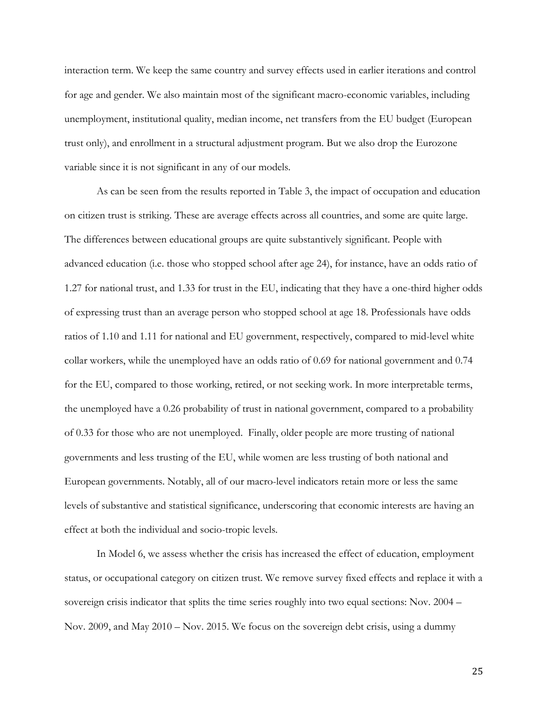interaction term. We keep the same country and survey effects used in earlier iterations and control for age and gender. We also maintain most of the significant macro-economic variables, including unemployment, institutional quality, median income, net transfers from the EU budget (European trust only), and enrollment in a structural adjustment program. But we also drop the Eurozone variable since it is not significant in any of our models.

As can be seen from the results reported in Table 3, the impact of occupation and education on citizen trust is striking. These are average effects across all countries, and some are quite large. The differences between educational groups are quite substantively significant. People with advanced education (i.e. those who stopped school after age 24), for instance, have an odds ratio of 1.27 for national trust, and 1.33 for trust in the EU, indicating that they have a one-third higher odds of expressing trust than an average person who stopped school at age 18. Professionals have odds ratios of 1.10 and 1.11 for national and EU government, respectively, compared to mid-level white collar workers, while the unemployed have an odds ratio of 0.69 for national government and 0.74 for the EU, compared to those working, retired, or not seeking work. In more interpretable terms, the unemployed have a 0.26 probability of trust in national government, compared to a probability of 0.33 for those who are not unemployed. Finally, older people are more trusting of national governments and less trusting of the EU, while women are less trusting of both national and European governments. Notably, all of our macro-level indicators retain more or less the same levels of substantive and statistical significance, underscoring that economic interests are having an effect at both the individual and socio-tropic levels.

In Model 6, we assess whether the crisis has increased the effect of education, employment status, or occupational category on citizen trust. We remove survey fixed effects and replace it with a sovereign crisis indicator that splits the time series roughly into two equal sections: Nov. 2004 – Nov. 2009, and May 2010 – Nov. 2015. We focus on the sovereign debt crisis, using a dummy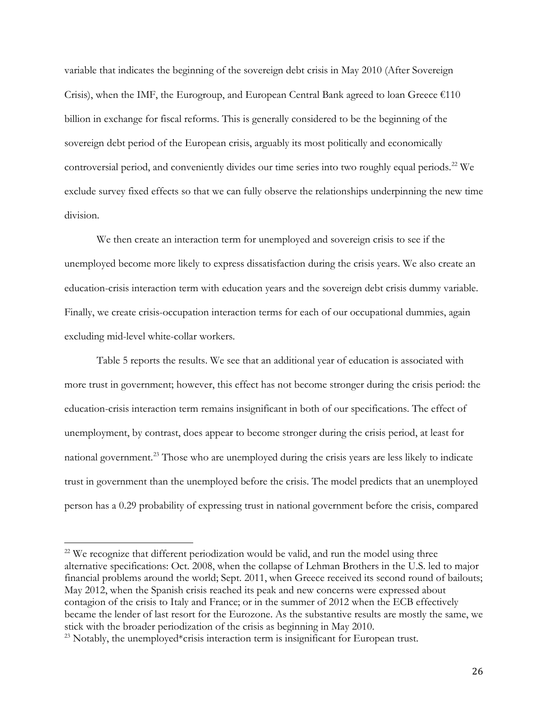variable that indicates the beginning of the sovereign debt crisis in May 2010 (After Sovereign Crisis), when the IMF, the Eurogroup, and European Central Bank agreed to loan Greece  $\epsilon$ 110 billion in exchange for fiscal reforms. This is generally considered to be the beginning of the sovereign debt period of the European crisis, arguably its most politically and economically controversial period, and conveniently divides our time series into two roughly equal periods.<sup>[22](#page-25-0)</sup> We exclude survey fixed effects so that we can fully observe the relationships underpinning the new time division.

We then create an interaction term for unemployed and sovereign crisis to see if the unemployed become more likely to express dissatisfaction during the crisis years. We also create an education-crisis interaction term with education years and the sovereign debt crisis dummy variable. Finally, we create crisis-occupation interaction terms for each of our occupational dummies, again excluding mid-level white-collar workers.

Table 5 reports the results. We see that an additional year of education is associated with more trust in government; however, this effect has not become stronger during the crisis period: the education-crisis interaction term remains insignificant in both of our specifications. The effect of unemployment, by contrast, does appear to become stronger during the crisis period, at least for national government.<sup>[23](#page-25-1)</sup> Those who are unemployed during the crisis years are less likely to indicate trust in government than the unemployed before the crisis. The model predicts that an unemployed person has a 0.29 probability of expressing trust in national government before the crisis, compared

<span id="page-25-0"></span> $22$  We recognize that different periodization would be valid, and run the model using three alternative specifications: Oct. 2008, when the collapse of Lehman Brothers in the U.S. led to major financial problems around the world; Sept. 2011, when Greece received its second round of bailouts; May 2012, when the Spanish crisis reached its peak and new concerns were expressed about contagion of the crisis to Italy and France; or in the summer of 2012 when the ECB effectively became the lender of last resort for the Eurozone. As the substantive results are mostly the same, we stick with the broader periodization of the crisis as beginning in May 2010.

<span id="page-25-1"></span><sup>&</sup>lt;sup>23</sup> Notably, the unemployed\*crisis interaction term is insignificant for European trust.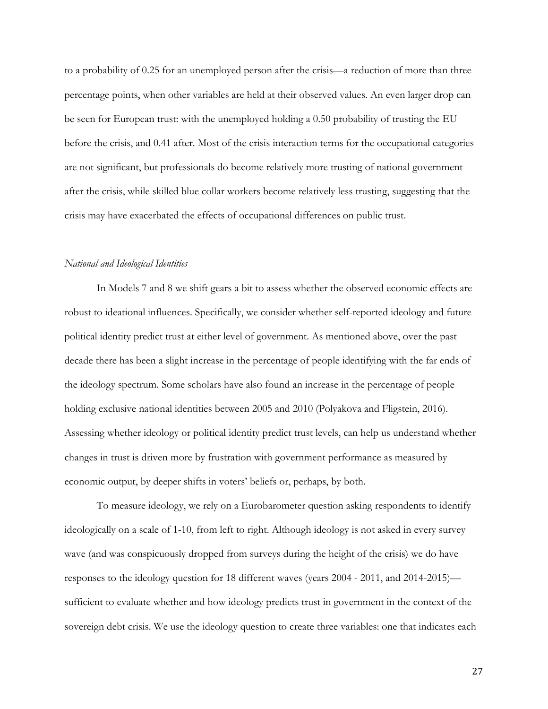to a probability of 0.25 for an unemployed person after the crisis—a reduction of more than three percentage points, when other variables are held at their observed values. An even larger drop can be seen for European trust: with the unemployed holding a 0.50 probability of trusting the EU before the crisis, and 0.41 after. Most of the crisis interaction terms for the occupational categories are not significant, but professionals do become relatively more trusting of national government after the crisis, while skilled blue collar workers become relatively less trusting, suggesting that the crisis may have exacerbated the effects of occupational differences on public trust.

#### *National and Ideological Identities*

In Models 7 and 8 we shift gears a bit to assess whether the observed economic effects are robust to ideational influences. Specifically, we consider whether self-reported ideology and future political identity predict trust at either level of government. As mentioned above, over the past decade there has been a slight increase in the percentage of people identifying with the far ends of the ideology spectrum. Some scholars have also found an increase in the percentage of people holding exclusive national identities between 2005 and 2010 (Polyakova and Fligstein, 2016). Assessing whether ideology or political identity predict trust levels, can help us understand whether changes in trust is driven more by frustration with government performance as measured by economic output, by deeper shifts in voters' beliefs or, perhaps, by both.

To measure ideology, we rely on a Eurobarometer question asking respondents to identify ideologically on a scale of 1-10, from left to right. Although ideology is not asked in every survey wave (and was conspicuously dropped from surveys during the height of the crisis) we do have responses to the ideology question for 18 different waves (years 2004 - 2011, and 2014-2015) sufficient to evaluate whether and how ideology predicts trust in government in the context of the sovereign debt crisis. We use the ideology question to create three variables: one that indicates each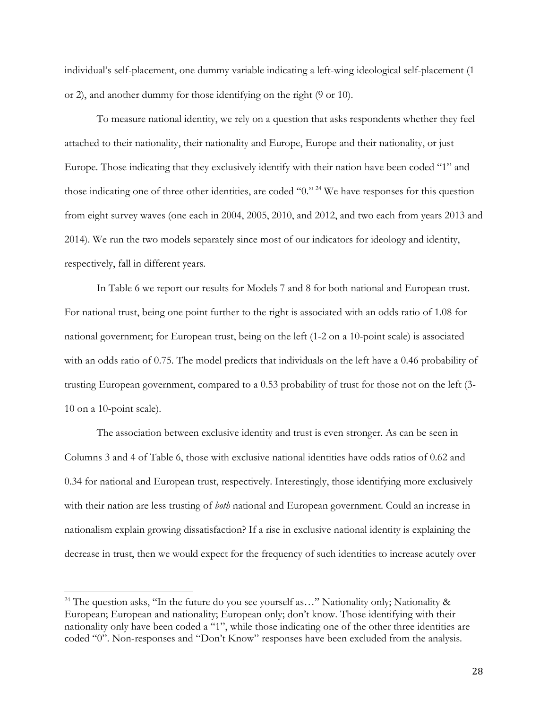individual's self-placement, one dummy variable indicating a left-wing ideological self-placement (1 or 2), and another dummy for those identifying on the right (9 or 10).

To measure national identity, we rely on a question that asks respondents whether they feel attached to their nationality, their nationality and Europe, Europe and their nationality, or just Europe. Those indicating that they exclusively identify with their nation have been coded "1" and those indicating one of three other identities, are coded "0."<sup>[24](#page-27-0)</sup> We have responses for this question from eight survey waves (one each in 2004, 2005, 2010, and 2012, and two each from years 2013 and 2014). We run the two models separately since most of our indicators for ideology and identity, respectively, fall in different years.

In Table 6 we report our results for Models 7 and 8 for both national and European trust. For national trust, being one point further to the right is associated with an odds ratio of 1.08 for national government; for European trust, being on the left (1-2 on a 10-point scale) is associated with an odds ratio of 0.75. The model predicts that individuals on the left have a 0.46 probability of trusting European government, compared to a 0.53 probability of trust for those not on the left (3- 10 on a 10-point scale).

The association between exclusive identity and trust is even stronger. As can be seen in Columns 3 and 4 of Table 6, those with exclusive national identities have odds ratios of 0.62 and 0.34 for national and European trust, respectively. Interestingly, those identifying more exclusively with their nation are less trusting of *both* national and European government. Could an increase in nationalism explain growing dissatisfaction? If a rise in exclusive national identity is explaining the decrease in trust, then we would expect for the frequency of such identities to increase acutely over

<span id="page-27-0"></span><sup>&</sup>lt;sup>24</sup> The question asks, "In the future do you see yourself as..." Nationality only; Nationality & European; European and nationality; European only; don't know. Those identifying with their nationality only have been coded a "1", while those indicating one of the other three identities are coded "0". Non-responses and "Don't Know" responses have been excluded from the analysis.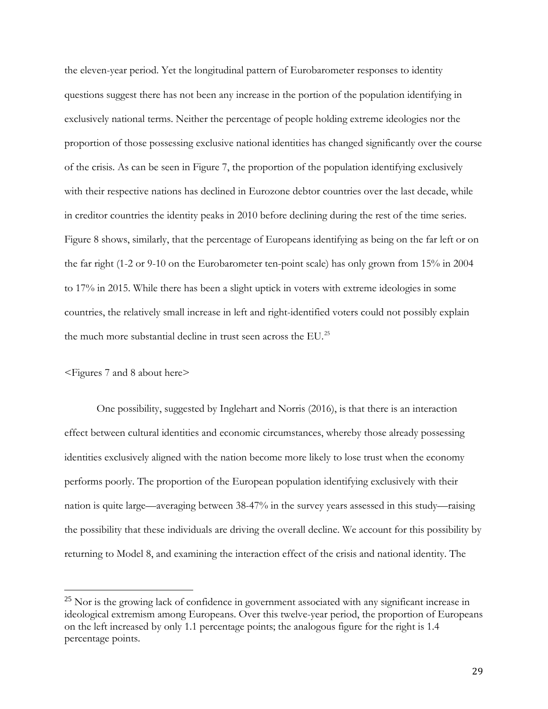the eleven-year period. Yet the longitudinal pattern of Eurobarometer responses to identity questions suggest there has not been any increase in the portion of the population identifying in exclusively national terms. Neither the percentage of people holding extreme ideologies nor the proportion of those possessing exclusive national identities has changed significantly over the course of the crisis. As can be seen in Figure 7, the proportion of the population identifying exclusively with their respective nations has declined in Eurozone debtor countries over the last decade, while in creditor countries the identity peaks in 2010 before declining during the rest of the time series. Figure 8 shows, similarly, that the percentage of Europeans identifying as being on the far left or on the far right (1-2 or 9-10 on the Eurobarometer ten-point scale) has only grown from 15% in 2004 to 17% in 2015. While there has been a slight uptick in voters with extreme ideologies in some countries, the relatively small increase in left and right-identified voters could not possibly explain the much more substantial decline in trust seen across the EU.<sup>[25](#page-28-0)</sup>

#### <Figures 7 and 8 about here>

One possibility, suggested by Inglehart and Norris (2016), is that there is an interaction effect between cultural identities and economic circumstances, whereby those already possessing identities exclusively aligned with the nation become more likely to lose trust when the economy performs poorly. The proportion of the European population identifying exclusively with their nation is quite large—averaging between 38-47% in the survey years assessed in this study—raising the possibility that these individuals are driving the overall decline. We account for this possibility by returning to Model 8, and examining the interaction effect of the crisis and national identity. The

<span id="page-28-0"></span><sup>&</sup>lt;sup>25</sup> Nor is the growing lack of confidence in government associated with any significant increase in ideological extremism among Europeans. Over this twelve-year period, the proportion of Europeans on the left increased by only 1.1 percentage points; the analogous figure for the right is 1.4 percentage points.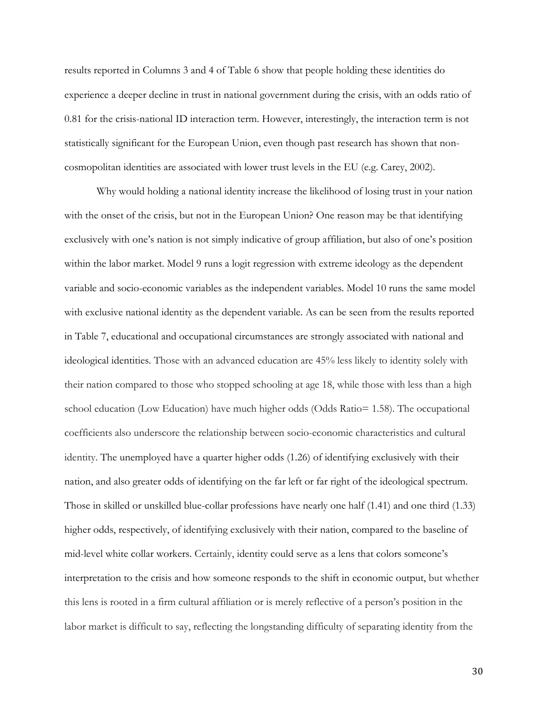results reported in Columns 3 and 4 of Table 6 show that people holding these identities do experience a deeper decline in trust in national government during the crisis, with an odds ratio of 0.81 for the crisis-national ID interaction term. However, interestingly, the interaction term is not statistically significant for the European Union, even though past research has shown that noncosmopolitan identities are associated with lower trust levels in the EU (e.g. Carey, 2002).

Why would holding a national identity increase the likelihood of losing trust in your nation with the onset of the crisis, but not in the European Union? One reason may be that identifying exclusively with one's nation is not simply indicative of group affiliation, but also of one's position within the labor market. Model 9 runs a logit regression with extreme ideology as the dependent variable and socio-economic variables as the independent variables. Model 10 runs the same model with exclusive national identity as the dependent variable. As can be seen from the results reported in Table 7, educational and occupational circumstances are strongly associated with national and ideological identities. Those with an advanced education are 45% less likely to identity solely with their nation compared to those who stopped schooling at age 18, while those with less than a high school education (Low Education) have much higher odds (Odds Ratio= 1.58). The occupational coefficients also underscore the relationship between socio-economic characteristics and cultural identity. The unemployed have a quarter higher odds (1.26) of identifying exclusively with their nation, and also greater odds of identifying on the far left or far right of the ideological spectrum. Those in skilled or unskilled blue-collar professions have nearly one half (1.41) and one third (1.33) higher odds, respectively, of identifying exclusively with their nation, compared to the baseline of mid-level white collar workers. Certainly, identity could serve as a lens that colors someone's interpretation to the crisis and how someone responds to the shift in economic output, but whether this lens is rooted in a firm cultural affiliation or is merely reflective of a person's position in the labor market is difficult to say, reflecting the longstanding difficulty of separating identity from the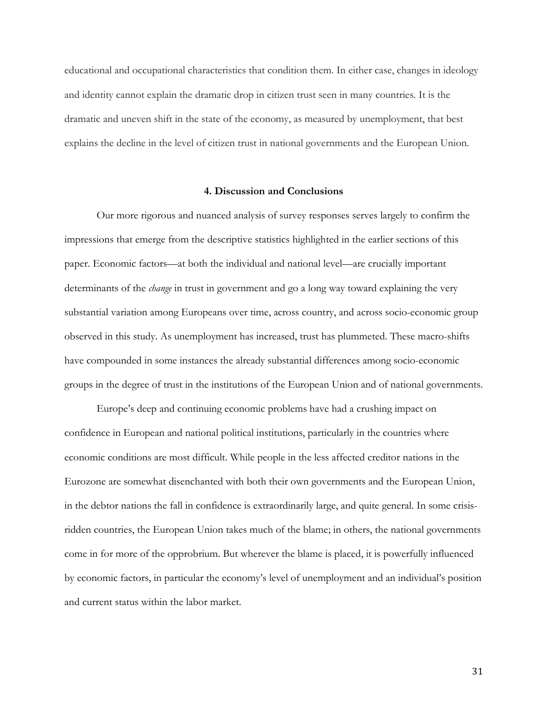educational and occupational characteristics that condition them. In either case, changes in ideology and identity cannot explain the dramatic drop in citizen trust seen in many countries. It is the dramatic and uneven shift in the state of the economy, as measured by unemployment, that best explains the decline in the level of citizen trust in national governments and the European Union.

### **4. Discussion and Conclusions**

Our more rigorous and nuanced analysis of survey responses serves largely to confirm the impressions that emerge from the descriptive statistics highlighted in the earlier sections of this paper. Economic factors—at both the individual and national level—are crucially important determinants of the *change* in trust in government and go a long way toward explaining the very substantial variation among Europeans over time, across country, and across socio-economic group observed in this study. As unemployment has increased, trust has plummeted. These macro-shifts have compounded in some instances the already substantial differences among socio-economic groups in the degree of trust in the institutions of the European Union and of national governments.

Europe's deep and continuing economic problems have had a crushing impact on confidence in European and national political institutions, particularly in the countries where economic conditions are most difficult. While people in the less affected creditor nations in the Eurozone are somewhat disenchanted with both their own governments and the European Union, in the debtor nations the fall in confidence is extraordinarily large, and quite general. In some crisisridden countries, the European Union takes much of the blame; in others, the national governments come in for more of the opprobrium. But wherever the blame is placed, it is powerfully influenced by economic factors, in particular the economy's level of unemployment and an individual's position and current status within the labor market.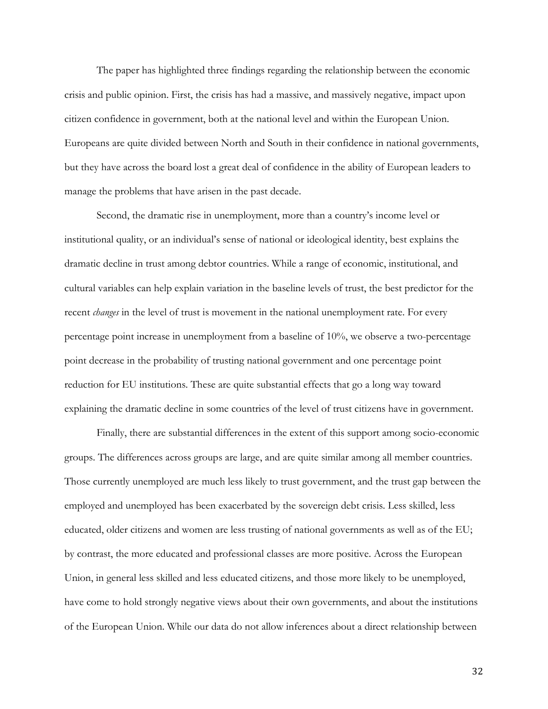The paper has highlighted three findings regarding the relationship between the economic crisis and public opinion. First, the crisis has had a massive, and massively negative, impact upon citizen confidence in government, both at the national level and within the European Union. Europeans are quite divided between North and South in their confidence in national governments, but they have across the board lost a great deal of confidence in the ability of European leaders to manage the problems that have arisen in the past decade.

Second, the dramatic rise in unemployment, more than a country's income level or institutional quality, or an individual's sense of national or ideological identity, best explains the dramatic decline in trust among debtor countries. While a range of economic, institutional, and cultural variables can help explain variation in the baseline levels of trust, the best predictor for the recent *changes* in the level of trust is movement in the national unemployment rate. For every percentage point increase in unemployment from a baseline of 10%, we observe a two-percentage point decrease in the probability of trusting national government and one percentage point reduction for EU institutions. These are quite substantial effects that go a long way toward explaining the dramatic decline in some countries of the level of trust citizens have in government.

Finally, there are substantial differences in the extent of this support among socio-economic groups. The differences across groups are large, and are quite similar among all member countries. Those currently unemployed are much less likely to trust government, and the trust gap between the employed and unemployed has been exacerbated by the sovereign debt crisis. Less skilled, less educated, older citizens and women are less trusting of national governments as well as of the EU; by contrast, the more educated and professional classes are more positive. Across the European Union, in general less skilled and less educated citizens, and those more likely to be unemployed, have come to hold strongly negative views about their own governments, and about the institutions of the European Union. While our data do not allow inferences about a direct relationship between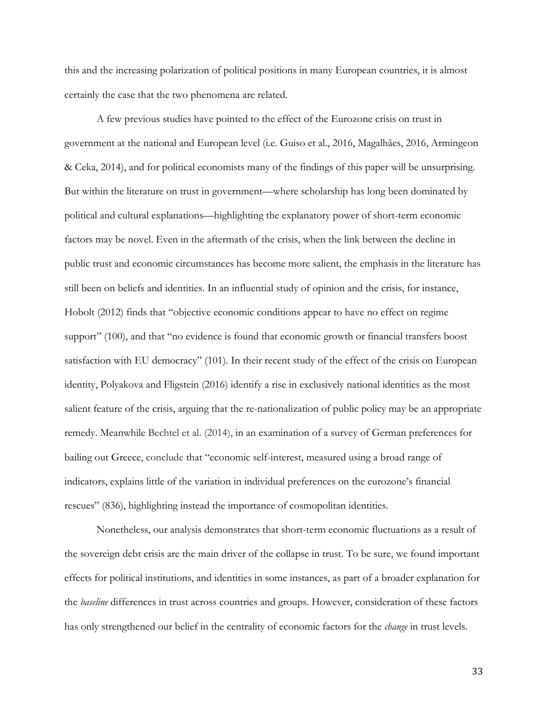this and the increasing polarization of political positions in many European countries, it is almost certainly the case that the two phenomena are related.

A few previous studies have pointed to the effect of the Eurozone crisis on trust in government at the national and European level (i.e. Guiso et al., 2016, Magalhães, 2016, Armingeon & Ceka, 2014), and for political economists many of the findings of this paper will be unsurprising. But within the literature on trust in government—where scholarship has long been dominated by political and cultural explanations—highlighting the explanatory power of short-term economic factors may be novel. Even in the aftermath of the crisis, when the link between the decline in public trust and economic circumstances has become more salient, the emphasis in the literature has still been on beliefs and identities. In an influential study of opinion and the crisis, for instance, Hobolt (2012) finds that "objective economic conditions appear to have no effect on regime support" (100), and that "no evidence is found that economic growth or financial transfers boost satisfaction with EU democracy" (101). In their recent study of the effect of the crisis on European identity, Polyakova and Fligstein (2016) identify a rise in exclusively national identities as the most salient feature of the crisis, arguing that the re-nationalization of public policy may be an appropriate remedy. Meanwhile Bechtel et al. (2014), in an examination of a survey of German preferences for bailing out Greece, conclude that "economic self-interest, measured using a broad range of indicators, explains little of the variation in individual preferences on the eurozone's financial rescues" (836), highlighting instead the importance of cosmopolitan identities.

Nonetheless, our analysis demonstrates that short-term economic fluctuations as a result of the sovereign debt crisis are the main driver of the collapse in trust. To be sure, we found important effects for political institutions, and identities in some instances, as part of a broader explanation for the *baseline* differences in trust across countries and groups. However, consideration of these factors has only strengthened our belief in the centrality of economic factors for the *change* in trust levels.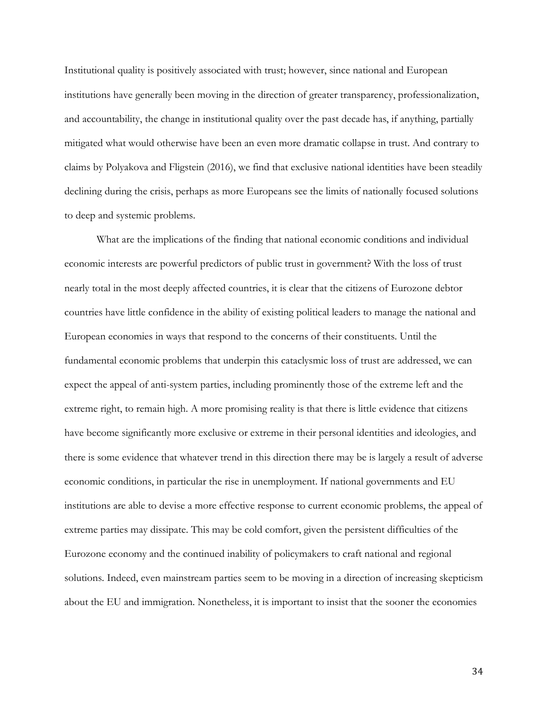Institutional quality is positively associated with trust; however, since national and European institutions have generally been moving in the direction of greater transparency, professionalization, and accountability, the change in institutional quality over the past decade has, if anything, partially mitigated what would otherwise have been an even more dramatic collapse in trust. And contrary to claims by Polyakova and Fligstein (2016), we find that exclusive national identities have been steadily declining during the crisis, perhaps as more Europeans see the limits of nationally focused solutions to deep and systemic problems.

What are the implications of the finding that national economic conditions and individual economic interests are powerful predictors of public trust in government? With the loss of trust nearly total in the most deeply affected countries, it is clear that the citizens of Eurozone debtor countries have little confidence in the ability of existing political leaders to manage the national and European economies in ways that respond to the concerns of their constituents. Until the fundamental economic problems that underpin this cataclysmic loss of trust are addressed, we can expect the appeal of anti-system parties, including prominently those of the extreme left and the extreme right, to remain high. A more promising reality is that there is little evidence that citizens have become significantly more exclusive or extreme in their personal identities and ideologies, and there is some evidence that whatever trend in this direction there may be is largely a result of adverse economic conditions, in particular the rise in unemployment. If national governments and EU institutions are able to devise a more effective response to current economic problems, the appeal of extreme parties may dissipate. This may be cold comfort, given the persistent difficulties of the Eurozone economy and the continued inability of policymakers to craft national and regional solutions. Indeed, even mainstream parties seem to be moving in a direction of increasing skepticism about the EU and immigration. Nonetheless, it is important to insist that the sooner the economies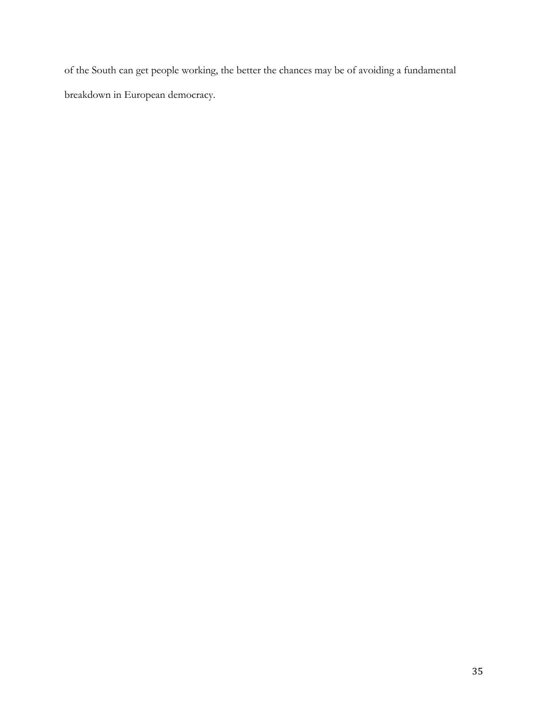of the South can get people working, the better the chances may be of avoiding a fundamental breakdown in European democracy.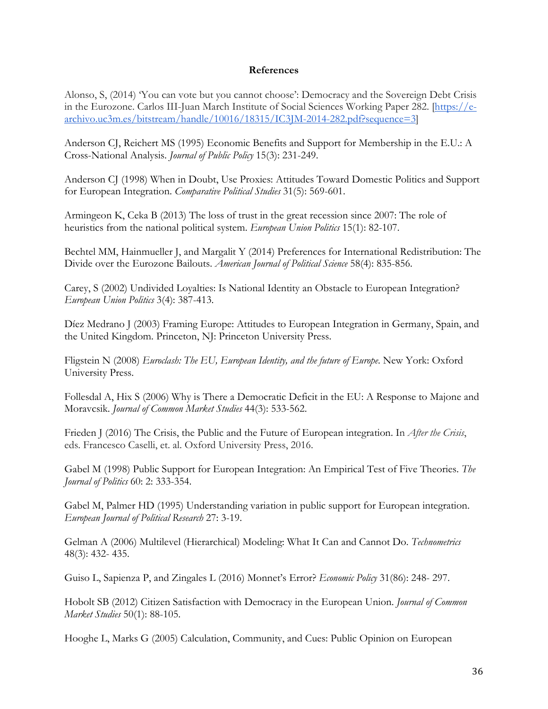## **References**

Alonso, S, (2014) 'You can vote but you cannot choose': Democracy and the Sovereign Debt Crisis in the Eurozone. Carlos III-Juan March Institute of Social Sciences Working Paper 282. [\[https://e](https://e-archivo.uc3m.es/bitstream/handle/10016/18315/IC3JM-2014-282.pdf?sequence=3)[archivo.uc3m.es/bitstream/handle/10016/18315/IC3JM-2014-282.pdf?sequence=3\]](https://e-archivo.uc3m.es/bitstream/handle/10016/18315/IC3JM-2014-282.pdf?sequence=3)

Anderson CJ, Reichert MS (1995) Economic Benefits and Support for Membership in the E.U.: A Cross-National Analysis. *Journal of Public Policy* 15(3): 231-249.

Anderson CJ (1998) When in Doubt, Use Proxies: Attitudes Toward Domestic Politics and Support for European Integration. *Comparative Political Studies* 31(5): 569-601.

Armingeon K, Ceka B (2013) The loss of trust in the great recession since 2007: The role of heuristics from the national political system. *European Union Politics* 15(1): 82-107.

Bechtel MM, Hainmueller J, and Margalit Y (2014) Preferences for International Redistribution: The Divide over the Eurozone Bailouts. *American Journal of Political Science* 58(4): 835-856.

Carey, S (2002) Undivided Loyalties: Is National Identity an Obstacle to European Integration? *European Union Politics* 3(4): 387-413.

Díez Medrano J (2003) Framing Europe: Attitudes to European Integration in Germany, Spain, and the United Kingdom. Princeton, NJ: Princeton University Press.

Fligstein N (2008) *Euroclash: The EU, European Identity, and the future of Europe*. New York: Oxford University Press.

Follesdal A, Hix S (2006) Why is There a Democratic Deficit in the EU: A Response to Majone and Moravcsik. *Journal of Common Market Studies* 44(3): 533-562.

Frieden J (2016) The Crisis, the Public and the Future of European integration. In *After the Crisis*, eds. Francesco Caselli, et. al. Oxford University Press, 2016.

Gabel M (1998) Public Support for European Integration: An Empirical Test of Five Theories. *The Journal of Politics* 60: 2: 333-354.

Gabel M, Palmer HD (1995) Understanding variation in public support for European integration. *European Journal of Political Research* 27: 3-19.

Gelman A (2006) Multilevel (Hierarchical) Modeling: What It Can and Cannot Do. *Technometrics*  48(3): 432- 435.

Guiso L, Sapienza P, and Zingales L (2016) Monnet's Error? *Economic Policy* 31(86): 248- 297.

Hobolt SB (2012) Citizen Satisfaction with Democracy in the European Union. *Journal of Common Market Studies* 50(1): 88-105.

Hooghe L, Marks G (2005) Calculation, Community, and Cues: Public Opinion on European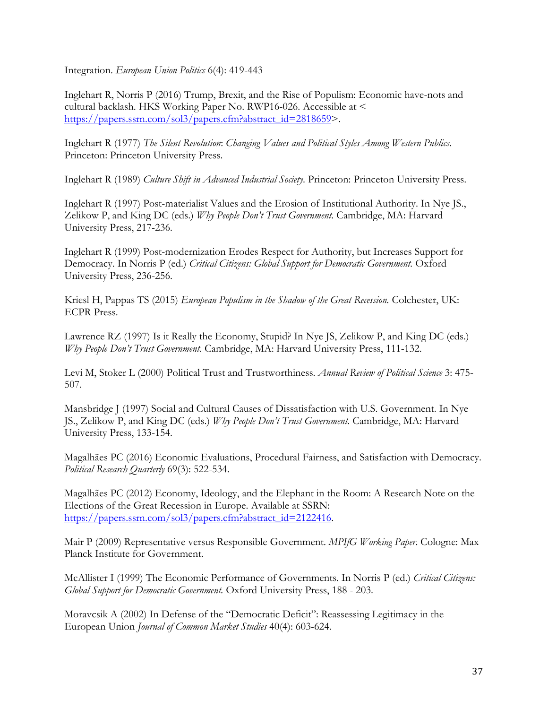Integration. *European Union Politics* 6(4): 419-443

Inglehart R, Norris P (2016) Trump, Brexit, and the Rise of Populism: Economic have-nots and cultural backlash. HKS Working Paper No. RWP16-026. Accessible at < [https://papers.ssrn.com/sol3/papers.cfm?abstract\\_id=2818659>](https://papers.ssrn.com/sol3/papers.cfm?abstract_id=2818659).

Inglehart R (1977) *The Silent Revolution*: *Changing Values and Political Styles Among Western Publics*. Princeton: Princeton University Press.

Inglehart R (1989) *Culture Shift in Advanced Industrial Society*. Princeton: Princeton University Press.

Inglehart R (1997) Post-materialist Values and the Erosion of Institutional Authority. In Nye JS., Zelikow P, and King DC (eds.) *Why People Don't Trust Government.* Cambridge, MA: Harvard University Press, 217-236.

Inglehart R (1999) Post-modernization Erodes Respect for Authority, but Increases Support for Democracy. In Norris P (ed.) *Critical Citizens: Global Support for Democratic Government.* Oxford University Press, 236-256.

Kriesl H, Pappas TS (2015) *European Populism in the Shadow of the Great Recession.* Colchester, UK: ECPR Press.

Lawrence RZ (1997) Is it Really the Economy, Stupid? In Nye JS, Zelikow P, and King DC (eds.) *Why People Don't Trust Government.* Cambridge, MA: Harvard University Press, 111-132.

Levi M, Stoker L (2000) Political Trust and Trustworthiness. *Annual Review of Political Science* 3: 475- 507.

Mansbridge J (1997) Social and Cultural Causes of Dissatisfaction with U.S. Government. In Nye JS., Zelikow P, and King DC (eds.) *Why People Don't Trust Government.* Cambridge, MA: Harvard University Press, 133-154.

Magalhães PC (2016) Economic Evaluations, Procedural Fairness, and Satisfaction with Democracy. *Political Research Quarterly* 69(3): 522-534.

Magalhães PC (2012) Economy, Ideology, and the Elephant in the Room: A Research Note on the Elections of the Great Recession in Europe. Available at SSRN: [https://papers.ssrn.com/sol3/papers.cfm?abstract\\_id=2122416.](https://papers.ssrn.com/sol3/papers.cfm?abstract_id=2122416)

Mair P (2009) Representative versus Responsible Government. *MPIfG Working Paper*. Cologne: Max Planck Institute for Government.

McAllister I (1999) The Economic Performance of Governments. In Norris P (ed.) *Critical Citizens: Global Support for Democratic Government.* Oxford University Press, 188 - 203.

Moravcsik A (2002) In Defense of the "Democratic Deficit": Reassessing Legitimacy in the European Union *Journal of Common Market Studies* 40(4): 603-624.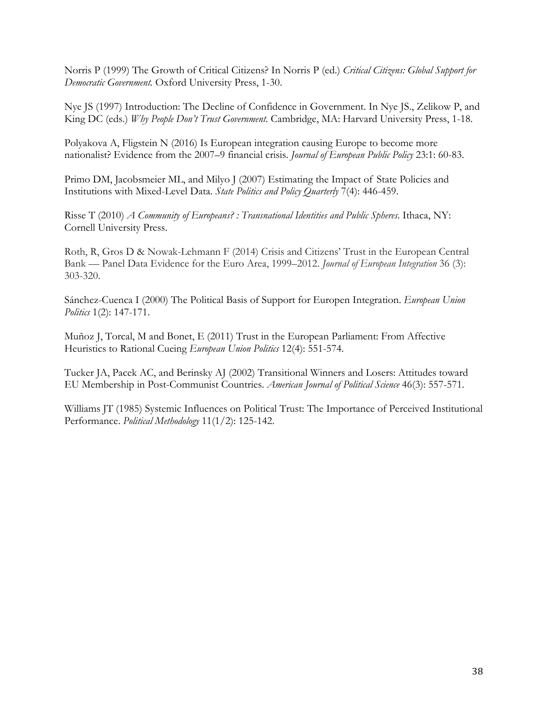Norris P (1999) The Growth of Critical Citizens? In Norris P (ed.) *Critical Citizens: Global Support for Democratic Government.* Oxford University Press, 1-30.

Nye JS (1997) Introduction: The Decline of Confidence in Government. In Nye JS., Zelikow P, and King DC (eds.) *Why People Don't Trust Government.* Cambridge, MA: Harvard University Press, 1-18.

Polyakova A, Fligstein N (2016) Is European integration causing Europe to become more nationalist? Evidence from the 2007–9 financial crisis. *Journal of European Public Policy* 23:1: 60-83.

Primo DM, Jacobsmeier ML, and Milyo J (2007) Estimating the Impact of State Policies and Institutions with Mixed-Level Data. *State Politics and Policy Quarterly* 7(4): 446-459.

Risse T (2010) *A Community of Europeans? : Transnational Identities and Public Spheres*. Ithaca, NY: Cornell University Press.

Roth, R, Gros D & Nowak-Lehmann F (2014) Crisis and Citizens' Trust in the European Central Bank — Panel Data Evidence for the Euro Area, 1999–2012. *Journal of European Integration* 36 (3): 303-320.

Sánchez-Cuenca I (2000) The Political Basis of Support for Europen Integration. *European Union Politics* 1(2): 147-171.

Muñoz J, Torcal, M and Bonet, E (2011) Trust in the European Parliament: From Affective Heuristics to Rational Cueing *European Union Politics* 12(4): 551-574.

Tucker JA, Pacek AC, and Berinsky AJ (2002) Transitional Winners and Losers: Attitudes toward EU Membership in Post-Communist Countries. *American Journal of Political Science* 46(3): 557-571.

Williams JT (1985) Systemic Influences on Political Trust: The Importance of Perceived Institutional Performance. *Political Methodology* 11(1/2): 125-142.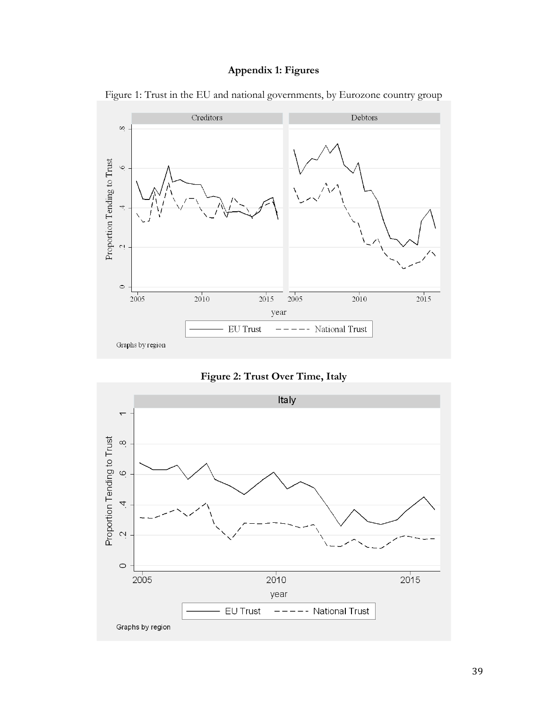# **Appendix 1: Figures**



Figure 1: Trust in the EU and national governments, by Eurozone country group

**Figure 2: Trust Over Time, Italy**

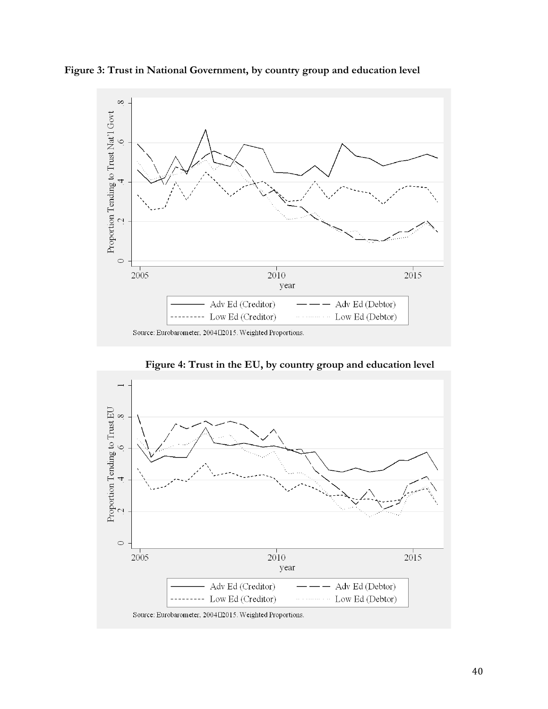



**Figure 4: Trust in the EU, by country group and education level**

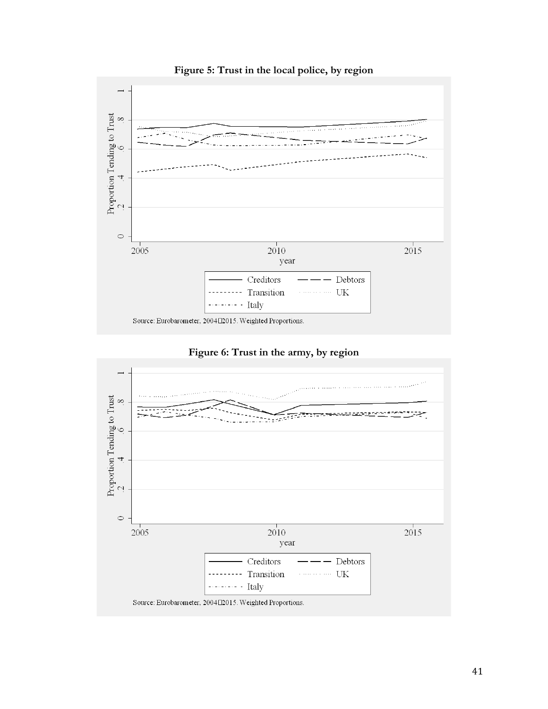

**Figure 5: Trust in the local police, by region**

**Figure 6: Trust in the army, by region**

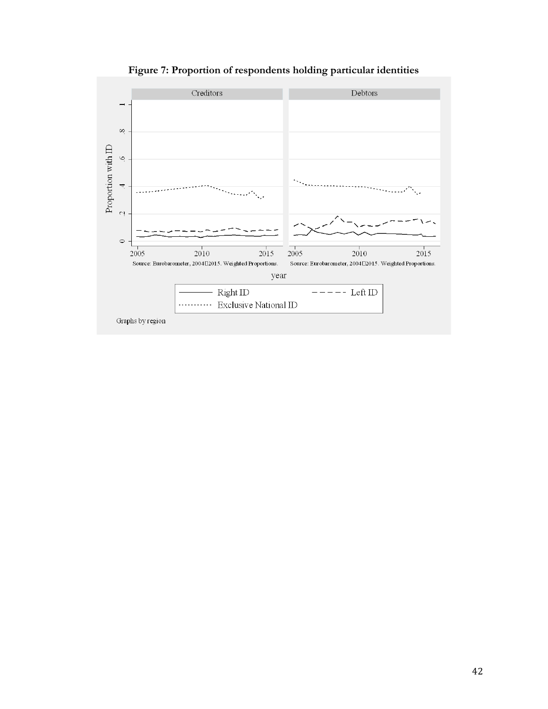

**Figure 7: Proportion of respondents holding particular identities**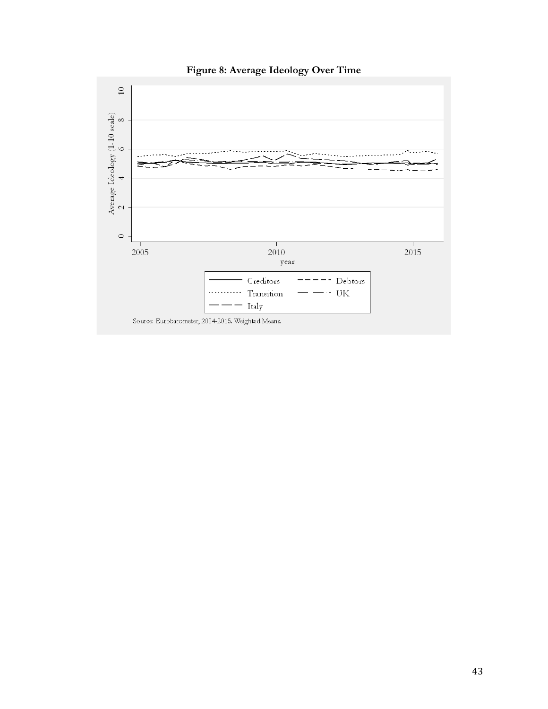

**Figure 8: Average Ideology Over Time**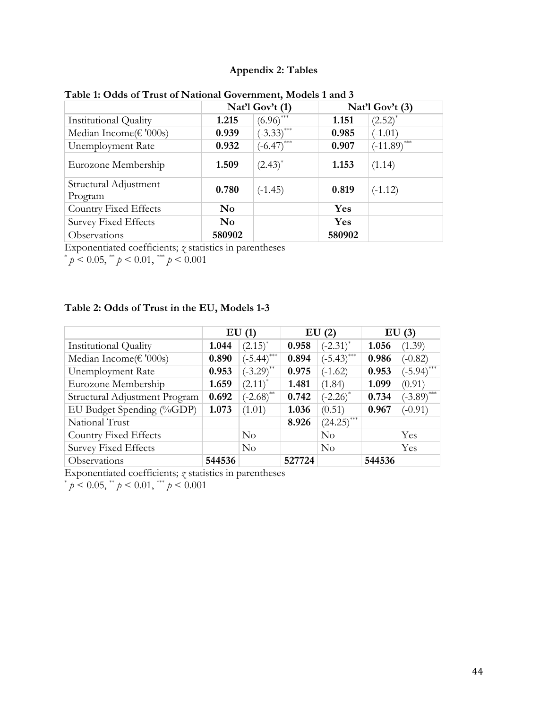# **Appendix 2: Tables**

|                                  | Nat'l Gov't $(1)$ |               |        | Nat'l Gov't $(3)$ |
|----------------------------------|-------------------|---------------|--------|-------------------|
| Institutional Quality            | 1.215             | $(6.96)$ ***  | 1.151  | $(2.52)^{*}$      |
| Median Income( $\in$ '000s)      | 0.939             | $(-3.33)$ *** | 0.985  | $(-1.01)$         |
| Unemployment Rate                | 0.932             | $(-6.47)$ *** | 0.907  | $(-11.89)$ ***    |
| Eurozone Membership              | 1.509             | $(2.43)^{*}$  | 1.153  | (1.14)            |
| Structural Adjustment<br>Program | 0.780             | $(-1.45)$     | 0.819  | $(-1.12)$         |
| Country Fixed Effects            | N <sub>0</sub>    |               | Yes    |                   |
| <b>Survey Fixed Effects</b>      | N <sub>0</sub>    |               | Yes    |                   |
| Observations                     | 580902            |               | 580902 |                   |

## **Table 1: Odds of Trust of National Government, Models 1 and 3**

Exponentiated coefficients; *z* statistics in parentheses

 $p^* p < 0.05$ ,  $\binom{p}{p} < 0.01$ ,  $\binom{p}{p} < 0.001$ 

## **Table 2: Odds of Trust in the EU, Models 1-3**

|                                  | EU(1)  |               | EU(2)  |               |        | EU(3)         |
|----------------------------------|--------|---------------|--------|---------------|--------|---------------|
| Institutional Quality            | 1.044  | $(2.15)^{*}$  | 0.958  | $(-2.31)^*$   | 1.056  | (1.39)        |
| Median Income( $\epsilon$ '000s) | 0.890  | $(-5.44)$ *** | 0.894  | $(-5.43)$ *** | 0.986  | $(-0.82)$     |
| Unemployment Rate                | 0.953  | $(-3.29)$ **  | 0.975  | $(-1.62)$     | 0.953  | $(-5.94)$ *** |
| Eurozone Membership              | 1.659  | $(2.11)^{*}$  | 1.481  | (1.84)        | 1.099  | (0.91)        |
| Structural Adjustment Program    | 0.692  | $(-2.68)$ **  | 0.742  | $(-2.26)^*$   | 0.734  | $(-3.89)$ *** |
| EU Budget Spending (%GDP)        | 1.073  | (1.01)        | 1.036  | (0.51)        | 0.967  | $(-0.91)$     |
| National Trust                   |        |               | 8.926  | $(24.25)$ *** |        |               |
| <b>Country Fixed Effects</b>     |        | $\rm No$      |        | No            |        | <b>Yes</b>    |
| <b>Survey Fixed Effects</b>      |        | No            |        | No            |        | Yes           |
| Observations                     | 544536 |               | 527724 |               | 544536 |               |

Exponentiated coefficients; *z* statistics in parentheses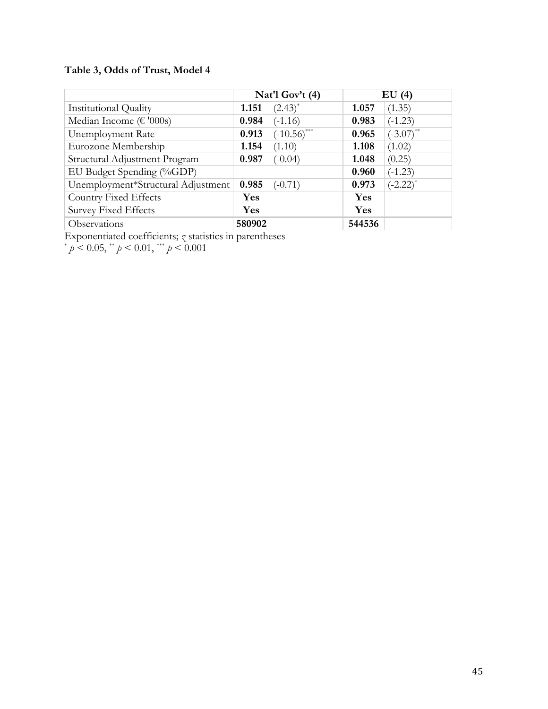# **Table 3, Odds of Trust, Model 4**

|                                    |            | Nat'l Gov't $(4)$ |        | EU(4)        |
|------------------------------------|------------|-------------------|--------|--------------|
| Institutional Quality              | 1.151      | $(2.43)^{*}$      | 1.057  | (1.35)       |
| Median Income ( $\epsilon$ '000s)  | 0.984      | $(-1.16)$         | 0.983  | $(-1.23)$    |
| Unemployment Rate                  | 0.913      | $(-10.56)$ ***    | 0.965  | $(-3.07)$ ** |
| Eurozone Membership                | 1.154      | (1.10)            | 1.108  | (1.02)       |
| Structural Adjustment Program      | 0.987      | $(-0.04)$         | 1.048  | (0.25)       |
| EU Budget Spending (%GDP)          |            |                   | 0.960  | $(-1.23)$    |
| Unemployment*Structural Adjustment | 0.985      | $(-0.71)$         | 0.973  | $(-2.22)^*$  |
| <b>Country Fixed Effects</b>       | Yes        |                   | Yes    |              |
| <b>Survey Fixed Effects</b>        | <b>Yes</b> |                   | Yes    |              |
| Observations                       | 580902     |                   | 544536 |              |

Exponentiated coefficients; *z* statistics in parentheses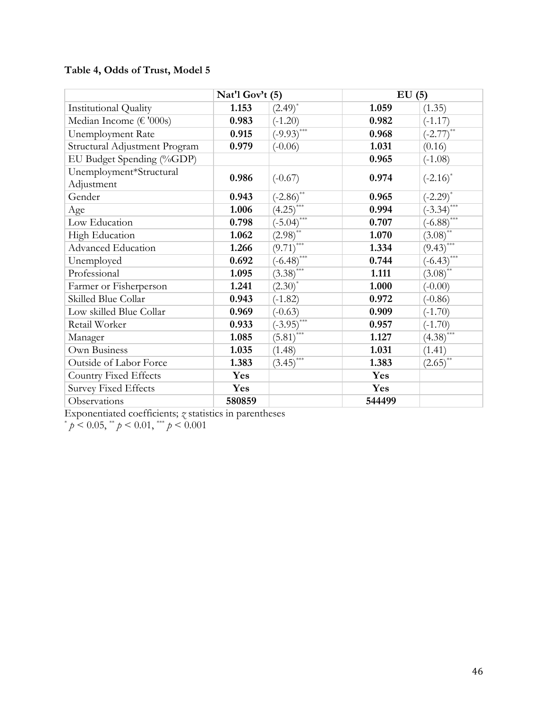# **Table 4, Odds of Trust, Model 5**

|                               | Nat'l Gov't $(5)$ |                           | EU(5)  |                        |
|-------------------------------|-------------------|---------------------------|--------|------------------------|
| Institutional Quality         | 1.153             | $(2.49)^{*}$              | 1.059  | (1.35)                 |
| Median Income (€ '000s)       | 0.983             | $(-1.20)$                 | 0.982  | $(-1.17)$              |
| Unemployment Rate             | 0.915             | $(-9.93)$                 | 0.968  | $(-2.77)$ **           |
| Structural Adjustment Program | 0.979             | $(-0.06)$                 | 1.031  | (0.16)                 |
| EU Budget Spending (%GDP)     |                   |                           | 0.965  | $(-1.08)$              |
| Unemployment*Structural       | 0.986             | $(-0.67)$                 | 0.974  | $(-2.16)^*$            |
| Adjustment                    |                   |                           |        |                        |
| Gender                        | 0.943             | $(-2.86)$ **              | 0.965  | $(-2.29)^{*}$          |
| Age                           | 1.006             | $\overline{(4.25)}^{***}$ | 0.994  | $(-3.34)$ ***          |
| Low Education                 | 0.798             | $(-5.04)$ ***             | 0.707  | $(-6.88)$ ***          |
| <b>High Education</b>         | 1.062             | $(2.98)$ **               | 1.070  | $(3.08)$ <sup>**</sup> |
| <b>Advanced Education</b>     | 1.266             | $(9.71)$ ***              | 1.334  | $(9.43)$ ***           |
| Unemployed                    | 0.692             | $(-6.48)$ ***             | 0.744  | $(-6.43)$ ***          |
| Professional                  | 1.095             | $\overline{(3.38)}^{***}$ | 1.111  | $(3.08)$ **            |
| Farmer or Fisherperson        | 1.241             | $(2.30)^{*}$              | 1.000  | $(-0.00)$              |
| Skilled Blue Collar           | 0.943             | $(-1.82)$                 | 0.972  | $(-0.86)$              |
| Low skilled Blue Collar       | 0.969             | $(-0.63)$                 | 0.909  | $(-1.70)$              |
| Retail Worker                 | 0.933             | $(-3.95)$ ***             | 0.957  | $(-1.70)$              |
| Manager                       | 1.085             | $(5.81)$ <sup>***</sup>   | 1.127  | $(4.38)$ ***           |
| Own Business                  | 1.035             | (1.48)                    | 1.031  | (1.41)                 |
| Outside of Labor Force        | 1.383             | $(3.45)$ ***              | 1.383  | $(2.65)$ **            |
| Country Fixed Effects         | Yes               |                           | Yes    |                        |
| <b>Survey Fixed Effects</b>   | Yes               |                           | Yes    |                        |
| Observations                  | 580859            |                           | 544499 |                        |

Exponentiated coefficients; *z* statistics in parentheses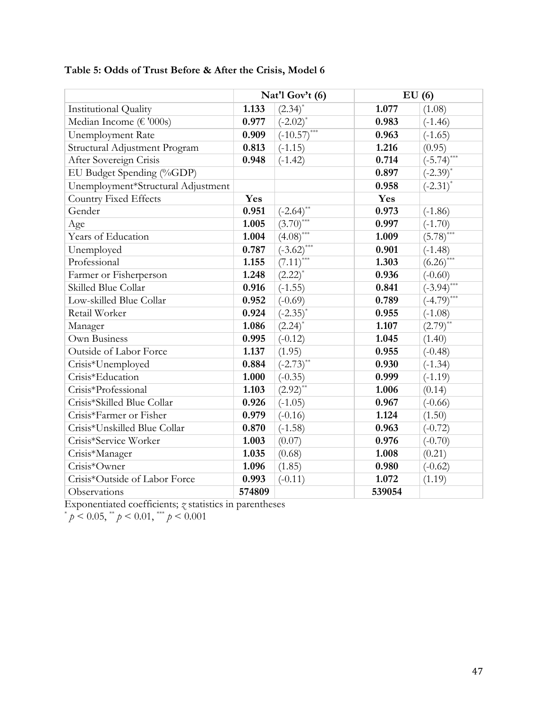|                                    | Nat'l Gov't (6) |                |        | EU(6)         |
|------------------------------------|-----------------|----------------|--------|---------------|
| <b>Institutional Quality</b>       | 1.133           | $(2.34)^{*}$   | 1.077  | (1.08)        |
| Median Income (€ '000s)            | 0.977           | $(-2.02)^{*}$  | 0.983  | $(-1.46)$     |
| Unemployment Rate                  | 0.909           | $(-10.57)$ *** | 0.963  | $(-1.65)$     |
| Structural Adjustment Program      | 0.813           | $(-1.15)$      | 1.216  | (0.95)        |
| After Sovereign Crisis             | 0.948           | $(-1.42)$      | 0.714  | $(-5.74)$ *** |
| EU Budget Spending (%GDP)          |                 |                | 0.897  | $(-2.39)^{*}$ |
| Unemployment*Structural Adjustment |                 |                | 0.958  | $(-2.31)^{*}$ |
| <b>Country Fixed Effects</b>       | Yes             |                | Yes    |               |
| Gender                             | 0.951           | $(-2.64)$ **   | 0.973  | $(-1.86)$     |
| Age                                | 1.005           | $(3.70)$ ***   | 0.997  | $(-1.70)$     |
| Years of Education                 | 1.004           | $(4.08)$ ***   | 1.009  | $(5.78)$ ***  |
| Unemployed                         | 0.787           | $(-3.62)$ ***  | 0.901  | $(-1.48)$     |
| Professional                       | 1.155           | (7.11)         | 1.303  | $(6.26)$ ***  |
| Farmer or Fisherperson             | 1.248           | $(2.22)^{*}$   | 0.936  | $(-0.60)$     |
| Skilled Blue Collar                | 0.916           | $(-1.55)$      | 0.841  | $(-3.94)$ *** |
| Low-skilled Blue Collar            | 0.952           | $(-0.69)$      | 0.789  | $(-4.79)$ *** |
| Retail Worker                      | 0.924           | $(-2.35)$      | 0.955  | $(-1.08)$     |
| Manager                            | 1.086           | $(2.24)^{*}$   | 1.107  | $(2.79)$ **   |
| Own Business                       | 0.995           | $(-0.12)$      | 1.045  | (1.40)        |
| Outside of Labor Force             | 1.137           | (1.95)         | 0.955  | $(-0.48)$     |
| Crisis*Unemployed                  | 0.884           | $(-2.73)$      | 0.930  | $(-1.34)$     |
| Crisis*Education                   | 1.000           | $(-0.35)$      | 0.999  | $(-1.19)$     |
| Crisis*Professional                | 1.103           | $(2.92)$ **    | 1.006  | (0.14)        |
| Crisis*Skilled Blue Collar         | 0.926           | $(-1.05)$      | 0.967  | $(-0.66)$     |
| Crisis*Farmer or Fisher            | 0.979           | $(-0.16)$      | 1.124  | (1.50)        |
| Crisis*Unskilled Blue Collar       | 0.870           | $(-1.58)$      | 0.963  | $(-0.72)$     |
| Crisis*Service Worker              | 1.003           | (0.07)         | 0.976  | $(-0.70)$     |
| Crisis*Manager                     | 1.035           | (0.68)         | 1.008  | (0.21)        |
| Crisis*Owner                       | 1.096           | (1.85)         | 0.980  | $(-0.62)$     |
| Crisis*Outside of Labor Force      | 0.993           | $(-0.11)$      | 1.072  | (1.19)        |
| Observations                       | 574809          |                | 539054 |               |

# **Table 5: Odds of Trust Before & After the Crisis, Model 6**

Exponentiated coefficients; *z* statistics in parentheses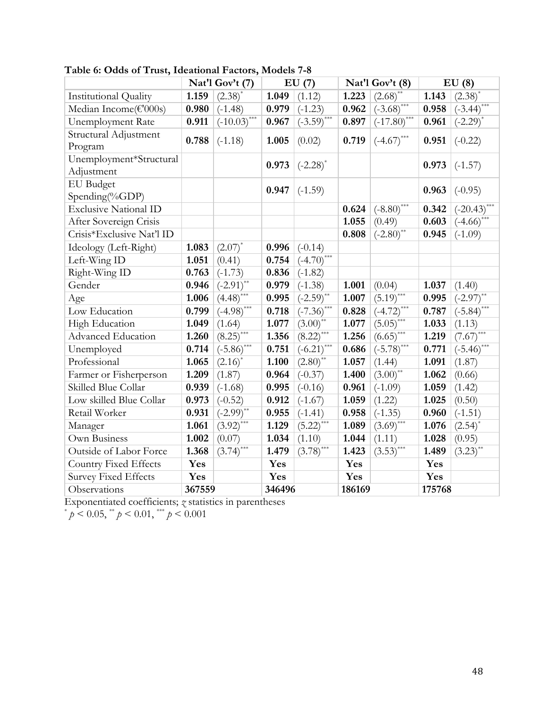|                                       |        | Nat'l Gov't (7)         | EU(7)  |                         | Nat'l Gov't (8) |                            | EU(8)  |                       |
|---------------------------------------|--------|-------------------------|--------|-------------------------|-----------------|----------------------------|--------|-----------------------|
| <b>Institutional Quality</b>          | 1.159  | $(2.38)^{*}$            | 1.049  | (1.12)                  | 1.223           | $(2.68)$ **                | 1.143  | $(2.38)^{*}$          |
| Median Income(€'000s)                 | 0.980  | $(-1.48)$               | 0.979  | $(-1.23)$               | 0.962           | $(-3.68)$ ***              | 0.958  | $(-3.44)$             |
| <b>Unemployment Rate</b>              | 0.911  | $(-10.03)$ ***          | 0.967  | $(-3.59)$ ***           | 0.897           | $(-17.80)$                 | 0.961  | $(-2.29)^{*}$         |
| Structural Adjustment<br>Program      | 0.788  | $(-1.18)$               | 1.005  | (0.02)                  | 0.719           | $(-4.67)$ ***              | 0.951  | $(-0.22)$             |
| Unemployment*Structural<br>Adjustment |        |                         | 0.973  | $(-2.28)$ <sup>*</sup>  |                 |                            | 0.973  | $(-1.57)$             |
| <b>EU</b> Budget<br>Spending(%GDP)    |        |                         | 0.947  | $(-1.59)$               |                 |                            | 0.963  | $(-0.95)$             |
| <b>Exclusive National ID</b>          |        |                         |        |                         | 0.624           | $(-8.80)$ ***              | 0.342  | $(-20.43)$            |
| After Sovereign Crisis                |        |                         |        |                         | 1.055           | (0.49)                     | 0.603  | $(-4.66)$ ***         |
| Crisis*Exclusive Nat'l ID             |        |                         |        |                         | 0.808           | $(-2.80)$ **               | 0.945  | $(-1.09)$             |
| Ideology (Left-Right)                 | 1.083  | $(2.07)^{*}$            | 0.996  | $(-0.14)$               |                 |                            |        |                       |
| Left-Wing ID                          | 1.051  | (0.41)                  | 0.754  | $(-4.70)$ ***           |                 |                            |        |                       |
| Right-Wing ID                         | 0.763  | $(-1.73)$               | 0.836  | $(-1.82)$               |                 |                            |        |                       |
| Gender                                | 0.946  | $(-2.91)$               | 0.979  | $(-1.38)$               | 1.001           | (0.04)                     | 1.037  | (1.40)                |
| Age                                   | 1.006  | $(4.48)$ <sup>***</sup> | 0.995  | $(-2.59)$ **            | 1.007           | $(5.19)$ ***               | 0.995  | $(-2.97)$ **          |
| Low Education                         | 0.799  | $(-4.98)$ ***           | 0.718  | $(-7.36)$ ***           | 0.828           | $(-4.72)$ ***              | 0.787  | $(-5.84)$ ***         |
| <b>High Education</b>                 | 1.049  | (1.64)                  | 1.077  | $(3.00)$ **             | 1.077           | $(5.05)$ <sup>***</sup>    | 1.033  | (1.13)                |
| <b>Advanced Education</b>             | 1.260  | $(8.25)$ ***            | 1.356  | $(8.22)$ <sup>***</sup> | 1.256           | $\underline{(6.65)}^{***}$ | 1.219  | $(7.67)$ ***          |
| Unemployed                            | 0.714  | $(-5.86)$ ***           | 0.751  | $(-6.21)$ ***           | 0.686           | $(-5.78)$                  | 0.771  | $(-5.46)$ ***         |
| Professional                          | 1.065  | $(2.16)^{*}$            | 1.100  | $(2.80)$ <sup>**</sup>  | 1.057           | (1.44)                     | 1.091  | (1.87)                |
| Farmer or Fisherperson                | 1.209  | (1.87)                  | 0.964  | $(-0.37)$               | 1.400           | $(3.00)$ **                | 1.062  | (0.66)                |
| Skilled Blue Collar                   | 0.939  | $(-1.68)$               | 0.995  | $(-0.16)$               | 0.961           | $(-1.09)$                  | 1.059  | (1.42)                |
| Low skilled Blue Collar               | 0.973  | $(-0.52)$               | 0.912  | $(-1.67)$               | 1.059           | (1.22)                     | 1.025  | (0.50)                |
| Retail Worker                         | 0.931  | $(-2.99)^{**}$          | 0.955  | $(-1.41)$               | 0.958           | $(-1.35)$                  | 0.960  | $(-1.51)$             |
| Manager                               | 1.061  | $(3.92)$ ***            | 1.129  | (5.22)                  | 1.089           | $(3.69)$ ***               | 1.076  | $(2.54)$ <sup>*</sup> |
| Own Business                          | 1.002  | (0.07)                  | 1.034  | (1.10)                  | 1.044           | (1.11)                     | 1.028  | (0.95)                |
| Outside of Labor Force                | 1.368  | $(3.74)$ ***            | 1.479  | $(3.78)$ ***            | 1.423           | $(3.53)$ ***               | 1.489  | $(3.23)^{**}$         |
| <b>Country Fixed Effects</b>          | Yes    |                         | Yes    |                         | Yes             |                            | Yes    |                       |
| <b>Survey Fixed Effects</b>           | Yes    |                         | Yes    |                         | Yes             |                            | Yes    |                       |
| Observations                          | 367559 |                         | 346496 |                         | 186169          |                            | 175768 |                       |

**Table 6: Odds of Trust, Ideational Factors, Models 7-8**

Exponentiated coefficients; *z* statistics in parentheses